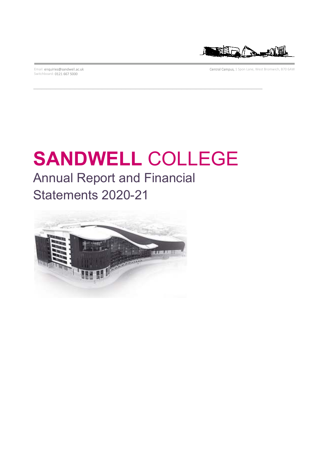Switchboard: 0121 667 5000



Email: enquiries@sandwell.ac.uk Central Campus, 1 Spon Lane, West Bromwich, B70 6AW

# Annual Report and Financial **SANDWELL** COLLEGE

Statements 2020-21

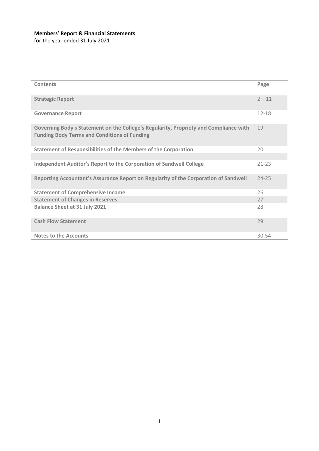## **Members' Report & Financial Statements**

for the year ended 31 July 2021

| Contents                                                                                                                                     | Page      |
|----------------------------------------------------------------------------------------------------------------------------------------------|-----------|
| <b>Strategic Report</b>                                                                                                                      | $2 - 11$  |
| <b>Governance Report</b>                                                                                                                     | $12 - 18$ |
| Governing Body's Statement on the College's Regularity, Propriety and Compliance with<br><b>Funding Body Terms and Conditions of Funding</b> | 19        |
| <b>Statement of Responsibilities of the Members of the Corporation</b>                                                                       | 20        |
|                                                                                                                                              |           |
| <b>Independent Auditor's Report to the Corporation of Sandwell College</b>                                                                   | $21 - 23$ |
| Reporting Accountant's Assurance Report on Regularity of the Corporation of Sandwell                                                         | $24 - 25$ |
| <b>Statement of Comprehensive Income</b>                                                                                                     | 26        |
| <b>Statement of Changes in Reserves</b>                                                                                                      | 27        |
| <b>Balance Sheet at 31 July 2021</b>                                                                                                         | 28        |
| <b>Cash Flow Statement</b>                                                                                                                   | 29        |
| <b>Notes to the Accounts</b>                                                                                                                 | $30 - 54$ |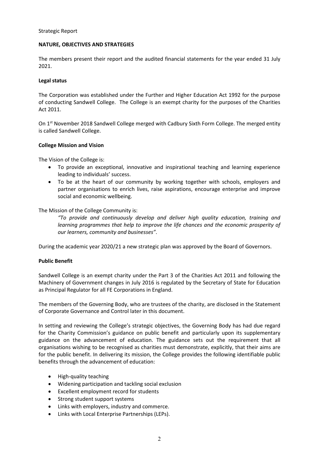## **NATURE, OBJECTIVES AND STRATEGIES**

The members present their report and the audited financial statements for the year ended 31 July 2021.

## **Legal status**

The Corporation was established under the Further and Higher Education Act 1992 for the purpose of conducting Sandwell College. The College is an exempt charity for the purposes of the Charities Act 2011.

On 1<sup>st</sup> November 2018 Sandwell College merged with Cadbury Sixth Form College. The merged entity is called Sandwell College.

## **College Mission and Vision**

The Vision of the College is:

- To provide an exceptional, innovative and inspirational teaching and learning experience leading to individuals' success.
- To be at the heart of our community by working together with schools, employers and partner organisations to enrich lives, raise aspirations, encourage enterprise and improve social and economic wellbeing.

The Mission of the College Community is:

*"To provide and continuously develop and deliver high quality education, training and learning programmes that help to improve the life chances and the economic prosperity of our learners, community and businesses"*.

During the academic year 2020/21 a new strategic plan was approved by the Board of Governors.

## **Public Benefit**

Sandwell College is an exempt charity under the Part 3 of the Charities Act 2011 and following the Machinery of Government changes in July 2016 is regulated by the Secretary of State for Education as Principal Regulator for all FE Corporations in England.

The members of the Governing Body, who are trustees of the charity, are disclosed in the Statement of Corporate Governance and Control later in this document.

In setting and reviewing the College's strategic objectives, the Governing Body has had due regard for the Charity Commission's guidance on public benefit and particularly upon its supplementary guidance on the advancement of education. The guidance sets out the requirement that all organisations wishing to be recognised as charities must demonstrate, explicitly, that their aims are for the public benefit. In delivering its mission, the College provides the following identifiable public benefits through the advancement of education:

- High-quality teaching
- Widening participation and tackling social exclusion
- Excellent employment record for students
- Strong student support systems
- Links with employers, industry and commerce.
- Links with Local Enterprise Partnerships (LEPs).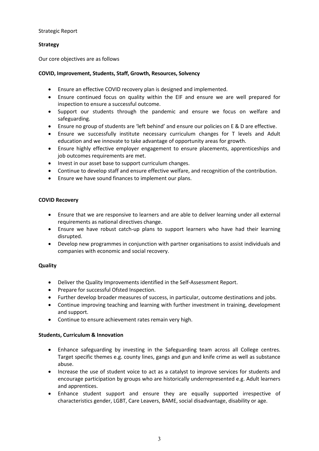## **Strategy**

Our core objectives are as follows

## **COVID, Improvement, Students, Staff, Growth, Resources, Solvency**

- Ensure an effective COVID recovery plan is designed and implemented.
- Ensure continued focus on quality within the EIF and ensure we are well prepared for inspection to ensure a successful outcome.
- Support our students through the pandemic and ensure we focus on welfare and safeguarding.
- Ensure no group of students are 'left behind' and ensure our policies on E & D are effective.
- Ensure we successfully institute necessary curriculum changes for T levels and Adult education and we innovate to take advantage of opportunity areas for growth.
- Ensure highly effective employer engagement to ensure placements, apprenticeships and job outcomes requirements are met.
- Invest in our asset base to support curriculum changes.
- Continue to develop staff and ensure effective welfare, and recognition of the contribution.
- Ensure we have sound finances to implement our plans.

## **COVID Recovery**

- Ensure that we are responsive to learners and are able to deliver learning under all external requirements as national directives change.
- Ensure we have robust catch-up plans to support learners who have had their learning disrupted.
- Develop new programmes in conjunction with partner organisations to assist individuals and companies with economic and social recovery.

## **Quality**

- Deliver the Quality Improvements identified in the Self-Assessment Report.
- Prepare for successful Ofsted Inspection.
- Further develop broader measures of success, in particular, outcome destinations and jobs.
- Continue improving teaching and learning with further investment in training, development and support.
- Continue to ensure achievement rates remain very high.

## **Students, Curriculum & Innovation**

- Enhance safeguarding by investing in the Safeguarding team across all College centres. Target specific themes e.g. county lines, gangs and gun and knife crime as well as substance abuse.
- Increase the use of student voice to act as a catalyst to improve services for students and encourage participation by groups who are historically underrepresented e.g. Adult learners and apprentices.
- Enhance student support and ensure they are equally supported irrespective of characteristics gender, LGBT, Care Leavers, BAME, social disadvantage, disability or age.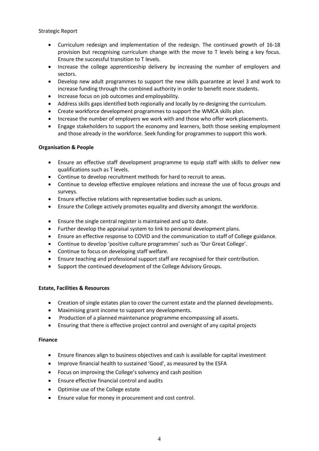- Curriculum redesign and implementation of the redesign. The continued growth of 16-18 provision but recognising curriculum change with the move to T levels being a key focus. Ensure the successful transition to T levels.
- Increase the college apprenticeship delivery by increasing the number of employers and sectors.
- Develop new adult programmes to support the new skills guarantee at level 3 and work to increase funding through the combined authority in order to benefit more students.
- Increase focus on job outcomes and employability.
- Address skills gaps identified both regionally and locally by re-designing the curriculum.
- Create workforce development programmes to support the WMCA skills plan.
- Increase the number of employers we work with and those who offer work placements.
- Engage stakeholders to support the economy and learners, both those seeking employment and those already in the workforce. Seek funding for programmes to support this work.

## **Organisation & People**

- Ensure an effective staff development programme to equip staff with skills to deliver new qualifications such as T levels.
- Continue to develop recruitment methods for hard to recruit to areas.
- Continue to develop effective employee relations and increase the use of focus groups and surveys.
- Ensure effective relations with representative bodies such as unions.
- Ensure the College actively promotes equality and diversity amongst the workforce.
- Ensure the single central register is maintained and up to date.
- Further develop the appraisal system to link to personal development plans.
- Ensure an effective response to COVID and the communication to staff of College guidance.
- Continue to develop 'positive culture programmes' such as 'Our Great College'.
- Continue to focus on developing staff welfare.
- Ensure teaching and professional support staff are recognised for their contribution.
- Support the continued development of the College Advisory Groups.

## **Estate, Facilities & Resources**

- Creation of single estates plan to cover the current estate and the planned developments.
- Maximising grant income to support any developments.
- Production of a planned maintenance programme encompassing all assets.
- Ensuring that there is effective project control and oversight of any capital projects

## **Finance**

- Ensure finances align to business objectives and cash is available for capital investment
- Improve financial health to sustained 'Good', as measured by the ESFA
- Focus on improving the College's solvency and cash position
- Ensure effective financial control and audits
- Optimise use of the College estate
- Ensure value for money in procurement and cost control.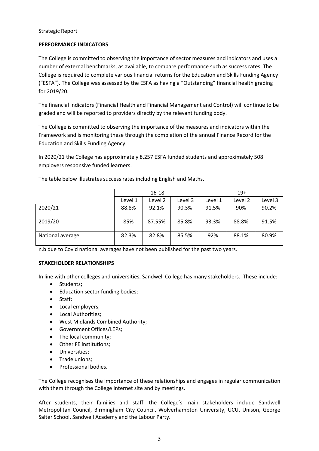## **PERFORMANCE INDICATORS**

The College is committed to observing the importance of sector measures and indicators and uses a number of external benchmarks, as available, to compare performance such as success rates. The College is required to complete various financial returns for the Education and Skills Funding Agency ("ESFA"). The College was assessed by the ESFA as having a "Outstanding" financial health grading for 2019/20.

The financial indicators (Financial Health and Financial Management and Control) will continue to be graded and will be reported to providers directly by the relevant funding body.

The College is committed to observing the importance of the measures and indicators within the Framework and is monitoring these through the completion of the annual Finance Record for the Education and Skills Funding Agency.

In 2020/21 the College has approximately 8,257 ESFA funded students and approximately 508 employers responsive funded learners.

|                  | 16-18   |         |         | $19+$   |         |         |
|------------------|---------|---------|---------|---------|---------|---------|
|                  | Level 1 | Level 2 | Level 3 | Level 1 | Level 2 | Level 3 |
| 2020/21          | 88.8%   | 92.1%   | 90.3%   | 91.5%   | 90%     | 90.2%   |
| 2019/20          | 85%     | 87.55%  | 85.8%   | 93.3%   | 88.8%   | 91.5%   |
| National average | 82.3%   | 82.8%   | 85.5%   | 92%     | 88.1%   | 80.9%   |

The table below illustrates success rates including English and Maths.

n.b due to Covid national averages have not been published for the past two years.

## **STAKEHOLDER RELATIONSHIPS**

In line with other colleges and universities, Sandwell College has many stakeholders. These include:

- Students;
- Education sector funding bodies;
- Staff;
- Local employers;
- Local Authorities;
- West Midlands Combined Authority;
- Government Offices/LEPs;
- The local community;
- Other FE institutions;
- Universities;
- Trade unions;
- Professional bodies.

The College recognises the importance of these relationships and engages in regular communication with them through the College Internet site and by meetings.

After students, their families and staff, the College's main stakeholders include Sandwell Metropolitan Council, Birmingham City Council, Wolverhampton University, UCU, Unison, George Salter School, Sandwell Academy and the Labour Party.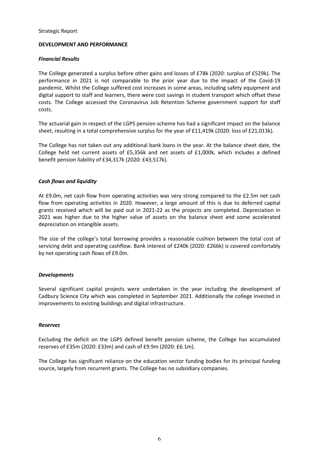## **DEVELOPMENT AND PERFORMANCE**

## *Financial Results*

The College generated a surplus before other gains and losses of £78k (2020: surplus of £529k). The performance in 2021 is not comparable to the prior year due to the impact of the Covid-19 pandemic. Whilst the College suffered cost increases in some areas, including safety equipment and digital support to staff and learners, there were cost savings in student transport which offset these costs. The College accessed the Coronavirus Job Retention Scheme government support for staff costs.

The actuarial gain in respect of the LGPS pension scheme has had a significant impact on the balance sheet, resulting in a total comprehensive surplus for the year of £11,419k (2020: loss of £21,013k).

The College has not taken out any additional bank loans in the year. At the balance sheet date, the College held net current assets of £5,356k and net assets of £1,000k, which includes a defined benefit pension liability of £34,317k (2020: £43,517k).

## *Cash flows and liquidity*

At £9.0m, net cash flow from operating activities was very strong compared to the £2.5m net cash flow from operating activities in 2020. However, a large amount of this is due to deferred capital grants received which will be paid out in 2021-22 as the projects are completed. Depreciation in 2021 was higher due to the higher value of assets on the balance sheet and some accelerated depreciation on intangible assets.

The size of the college's total borrowing provides a reasonable cushion between the total cost of servicing debt and operating cashflow. Bank interest of £240k (2020: £266k) is covered comfortably by net operating cash flows of £9.0m.

## *Developments*

Several significant capital projects were undertaken in the year including the development of Cadbury Science City which was completed in September 2021. Additionally the college invested in improvements to existing buildings and digital infrastructure.

## *Reserves*

Excluding the deficit on the LGPS defined benefit pension scheme, the College has accumulated reserves of £35m (2020: £33m) and cash of £9.9m (2020: £6.1m).

The College has significant reliance on the education sector funding bodies for its principal funding source, largely from recurrent grants. The College has no subsidiary companies.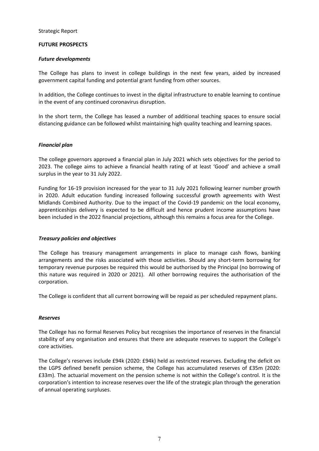## **FUTURE PROSPECTS**

## *Future developments*

The College has plans to invest in college buildings in the next few years, aided by increased government capital funding and potential grant funding from other sources.

In addition, the College continues to invest in the digital infrastructure to enable learning to continue in the event of any continued coronavirus disruption.

In the short term, the College has leased a number of additional teaching spaces to ensure social distancing guidance can be followed whilst maintaining high quality teaching and learning spaces.

## *Financial plan*

The college governors approved a financial plan in July 2021 which sets objectives for the period to 2023. The college aims to achieve a financial health rating of at least 'Good' and achieve a small surplus in the year to 31 July 2022.

Funding for 16-19 provision increased for the year to 31 July 2021 following learner number growth in 2020. Adult education funding increased following successful growth agreements with West Midlands Combined Authority. Due to the impact of the Covid-19 pandemic on the local economy, apprenticeships delivery is expected to be difficult and hence prudent income assumptions have been included in the 2022 financial projections, although this remains a focus area for the College.

## *Treasury policies and objectives*

The College has treasury management arrangements in place to manage cash flows, banking arrangements and the risks associated with those activities. Should any short-term borrowing for temporary revenue purposes be required this would be authorised by the Principal (no borrowing of this nature was required in 2020 or 2021). All other borrowing requires the authorisation of the corporation.

The College is confident that all current borrowing will be repaid as per scheduled repayment plans.

## *Reserves*

The College has no formal Reserves Policy but recognises the importance of reserves in the financial stability of any organisation and ensures that there are adequate reserves to support the College's core activities.

The College's reserves include £94k (2020: £94k) held as restricted reserves. Excluding the deficit on the LGPS defined benefit pension scheme, the College has accumulated reserves of £35m (2020: £33m). The actuarial movement on the pension scheme is not within the College's control. It is the corporation's intention to increase reserves over the life of the strategic plan through the generation of annual operating surpluses.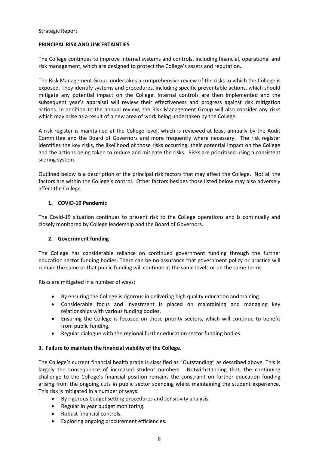## **PRINCIPAL RISK AND UNCERTAINTIES**

The College continues to improve internal systems and controls, including financial, operational and risk management, which are designed to protect the College's assets and reputation.

The Risk Management Group undertakes a comprehensive review of the risks to which the College is exposed. They identify systems and procedures, including specific preventable actions, which should mitigate any potential impact on the College. Internal controls are then implemented and the subsequent year's appraisal will review their effectiveness and progress against risk mitigation actions. In addition to the annual review, the Risk Management Group will also consider any risks which may arise as a result of a new area of work being undertaken by the College.

A risk register is maintained at the College level, which is reviewed at least annually by the Audit Committee and the Board of Governors and more frequently where necessary. The risk register identifies the key risks, the likelihood of those risks occurring, their potential impact on the College and the actions being taken to reduce and mitigate the risks. Risks are prioritised using a consistent scoring system.

Outlined below is a description of the principal risk factors that may affect the College. Not all the factors are within the College's control. Other factors besides those listed below may also adversely affect the College.

## **1. COVID-19 Pandemic**

The Covid-19 situation continues to present risk to the College operations and is continually and closely monitored by College leadership and the Board of Governors.

## **2. Government funding**

The College has considerable reliance on continued government funding through the further education sector funding bodies. There can be no assurance that government policy or practice will remain the same or that public funding will continue at the same levels or on the same terms.

Risks are mitigated in a number of ways:

- By ensuring the College is rigorous in delivering high quality education and training.
- Considerable focus and investment is placed on maintaining and managing key relationships with various funding bodies.
- Ensuring the College is focused on those priority sectors, which will continue to benefit from public funding.
- Regular dialogue with the regional further education sector funding bodies.

## **3. Failure to maintain the financial viability of the College.**

The College's current financial health grade is classified as "Outstanding" as described above. This is largely the consequence of increased student numbers. Notwithstanding that, the continuing challenge to the College's financial position remains the constraint on further education funding arising from the ongoing cuts in public sector spending whilst maintaining the student experience. This risk is mitigated in a number of ways:

- By rigorous budget setting procedures and sensitivity analysis
- Regular in year budget monitoring.
- Robust financial controls.
- Exploring ongoing procurement efficiencies.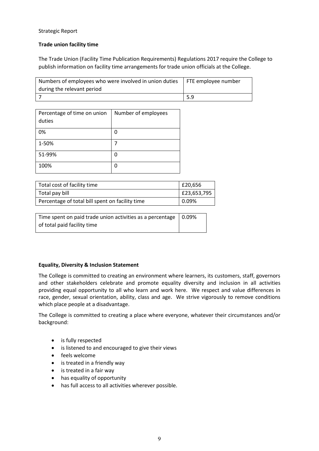## **Trade union facility time**

The Trade Union (Facility Time Publication Requirements) Regulations 2017 require the College to publish information on facility time arrangements for trade union officials at the College.

| Numbers of employees who were involved in union duties FTE employee number |     |
|----------------------------------------------------------------------------|-----|
| during the relevant period                                                 |     |
|                                                                            | 5.9 |

| Percentage of time on union<br>duties | Number of employees |
|---------------------------------------|---------------------|
| 0%                                    | 0                   |
| 1-50%                                 |                     |
| 51-99%                                | 0                   |
| 100%                                  | 0                   |

| Total cost of facility time                     | £20,656     |
|-------------------------------------------------|-------------|
| Total pay bill                                  | E23,653,795 |
| Percentage of total bill spent on facility time | 0.09%       |

Time spent on paid trade union activities as a percentage of total paid facility time 0.09%

## **Equality, Diversity & Inclusion Statement**

The College is committed to creating an environment where learners, its customers, staff, governors and other stakeholders celebrate and promote equality diversity and inclusion in all activities providing equal opportunity to all who learn and work here. We respect and value differences in race, gender, sexual orientation, ability, class and age. We strive vigorously to remove conditions which place people at a disadvantage.

The College is committed to creating a place where everyone, whatever their circumstances and/or background:

- is fully respected
- is listened to and encouraged to give their views
- feels welcome
- is treated in a friendly way
- is treated in a fair way
- has equality of opportunity
- has full access to all activities wherever possible.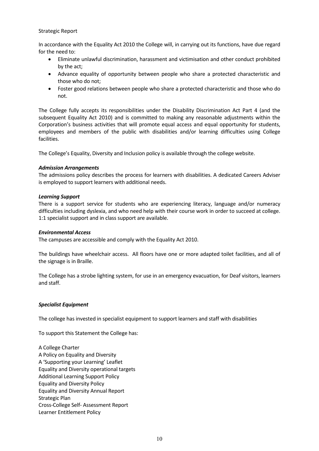In accordance with the Equality Act 2010 the College will, in carrying out its functions, have due regard for the need to:

- Eliminate unlawful discrimination, harassment and victimisation and other conduct prohibited by the act;
- Advance equality of opportunity between people who share a protected characteristic and those who do not;
- Foster good relations between people who share a protected characteristic and those who do not.

The College fully accepts its responsibilities under the Disability Discrimination Act Part 4 (and the subsequent Equality Act 2010) and is committed to making any reasonable adjustments within the Corporation's business activities that will promote equal access and equal opportunity for students, employees and members of the public with disabilities and/or learning difficulties using College facilities.

The College's Equality, Diversity and Inclusion policy is available through the college website.

## *Admission Arrangements*

The admissions policy describes the process for learners with disabilities. A dedicated Careers Adviser is employed to support learners with additional needs.

## *Learning Support*

There is a support service for students who are experiencing literacy, language and/or numeracy difficulties including dyslexia, and who need help with their course work in order to succeed at college. 1:1 specialist support and in class support are available.

## *Environmental Access*

The campuses are accessible and comply with the Equality Act 2010.

The buildings have wheelchair access. All floors have one or more adapted toilet facilities, and all of the signage is in Braille.

The College has a strobe lighting system, for use in an emergency evacuation, for Deaf visitors, learners and staff.

## *Specialist Equipment*

The college has invested in specialist equipment to support learners and staff with disabilities

To support this Statement the College has:

A College Charter A Policy on Equality and Diversity A 'Supporting your Learning' Leaflet Equality and Diversity operational targets Additional Learning Support Policy Equality and Diversity Policy Equality and Diversity Annual Report Strategic Plan Cross-College Self- Assessment Report Learner Entitlement Policy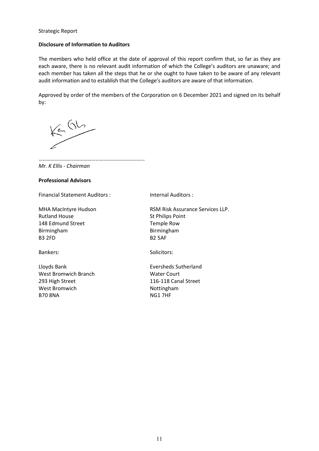## **Disclosure of Information to Auditors**

The members who held office at the date of approval of this report confirm that, so far as they are each aware, there is no relevant audit information of which the College's auditors are unaware; and each member has taken all the steps that he or she ought to have taken to be aware of any relevant audit information and to establish that the College's auditors are aware of that information.

Approved by order of the members of the Corporation on 6 December 2021 and signed on its behalf by:

 $\left( \frac{1}{2} \right)$ 

…………………………………………………………… *Mr. K Ellis - Chairman* 

#### **Professional Advisors**

Financial Statement Auditors : Internal Auditors :

MHA MacIntyre Hudson Rutland House 148 Edmund Street Birmingham B3 2FD

Lloyds Bank West Bromwich Branch 293 High Street West Bromwich B70 8NA

RSM Risk Assurance Services LLP. St Philips Point Temple Row Birmingham B2 5AF

Bankers: Solicitors: Solicitors:

Eversheds Sutherland Water Court 116-118 Canal Street Nottingham NG1 7HF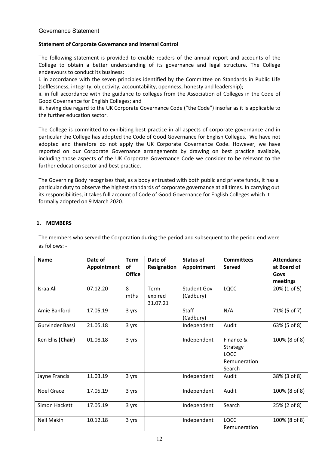## **Statement of Corporate Governance and Internal Control**

The following statement is provided to enable readers of the annual report and accounts of the College to obtain a better understanding of its governance and legal structure. The College endeavours to conduct its business:

i. in accordance with the seven principles identified by the Committee on Standards in Public Life (selflessness, integrity, objectivity, accountability, openness, honesty and leadership);

ii. in full accordance with the guidance to colleges from the Association of Colleges in the Code of Good Governance for English Colleges; and

iii. having due regard to the UK Corporate Governance Code ("the Code") insofar as it is applicable to the further education sector.

The College is committed to exhibiting best practice in all aspects of corporate governance and in particular the College has adopted the Code of Good Governance for English Colleges. We have not adopted and therefore do not apply the UK Corporate Governance Code. However, we have reported on our Corporate Governance arrangements by drawing on best practice available, including those aspects of the UK Corporate Governance Code we consider to be relevant to the further education sector and best practice.

The Governing Body recognises that, as a body entrusted with both public and private funds, it has a particular duty to observe the highest standards of corporate governance at all times. In carrying out its responsibilities, it takes full account of Code of Good Governance for English Colleges which it formally adopted on 9 March 2020.

## **1. MEMBERS**

The members who served the Corporation during the period and subsequent to the period end were as follows: -

| <b>Name</b>       | Date of     | <b>Term</b>   | Date of     | <b>Status of</b>   | <b>Committees</b> | <b>Attendance</b> |
|-------------------|-------------|---------------|-------------|--------------------|-------------------|-------------------|
|                   | Appointment | of            | Resignation | Appointment        | <b>Served</b>     | at Board of       |
|                   |             | <b>Office</b> |             |                    |                   | Govs              |
|                   |             |               |             |                    |                   | meetings          |
| Israa Ali         | 07.12.20    | 8             | Term        | <b>Student Gov</b> | LQCC              | 20% (1 of 5)      |
|                   |             | mths          | expired     | (Cadbury)          |                   |                   |
|                   |             |               | 31.07.21    |                    |                   |                   |
| Amie Banford      | 17.05.19    | 3 yrs         |             | Staff              | N/A               | 71% (5 of 7)      |
|                   |             |               |             | (Cadbury)          |                   |                   |
| Gurvinder Bassi   | 21.05.18    | 3 yrs         |             | Independent        | Audit             | 63% (5 of 8)      |
|                   |             |               |             |                    |                   |                   |
| Ken Ellis (Chair) | 01.08.18    | 3 yrs         |             | Independent        | Finance &         | 100% (8 of 8)     |
|                   |             |               |             |                    | Strategy          |                   |
|                   |             |               |             |                    | <b>LQCC</b>       |                   |
|                   |             |               |             |                    | Remuneration      |                   |
|                   |             |               |             |                    | Search            |                   |
| Jayne Francis     | 11.03.19    | 3 yrs         |             | Independent        | Audit             | 38% (3 of 8)      |
|                   |             |               |             |                    |                   |                   |
| <b>Noel Grace</b> | 17.05.19    | 3 yrs         |             | Independent        | Audit             | 100% (8 of 8)     |
|                   |             |               |             |                    |                   |                   |
| Simon Hackett     | 17.05.19    | 3 yrs         |             | Independent        | Search            | 25% (2 of 8)      |
|                   |             |               |             |                    |                   |                   |
| Neil Makin        | 10.12.18    | 3 yrs         |             | Independent        | <b>LQCC</b>       | 100% (8 of 8)     |
|                   |             |               |             |                    | Remuneration      |                   |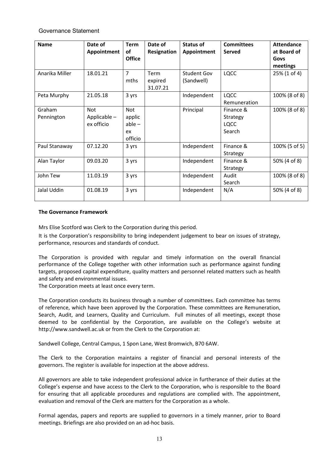| <b>Name</b>          | Date of<br>Appointment                   | <b>Term</b><br>of<br><b>Office</b>         | Date of<br>Resignation      | <b>Status of</b><br>Appointment  | <b>Committees</b><br><b>Served</b>             | <b>Attendance</b><br>at Board of<br>Govs<br>meetings |
|----------------------|------------------------------------------|--------------------------------------------|-----------------------------|----------------------------------|------------------------------------------------|------------------------------------------------------|
| Anarika Miller       | 18.01.21                                 | 7<br>mths                                  | Term<br>expired<br>31.07.21 | <b>Student Gov</b><br>(Sandwell) | <b>LQCC</b>                                    | 25% (1 of 4)                                         |
| Peta Murphy          | 21.05.18                                 | 3 yrs                                      |                             | Independent                      | <b>LQCC</b><br>Remuneration                    | 100% (8 of 8)                                        |
| Graham<br>Pennington | <b>Not</b><br>Applicable -<br>ex officio | Not<br>applic<br>$able -$<br>ex<br>officio |                             | Principal                        | Finance &<br>Strategy<br><b>LQCC</b><br>Search | 100% (8 of 8)                                        |
| Paul Stanaway        | 07.12.20                                 | 3 yrs                                      |                             | Independent                      | Finance &<br>Strategy                          | 100% (5 of 5)                                        |
| Alan Taylor          | 09.03.20                                 | 3 yrs                                      |                             | Independent                      | Finance &<br>Strategy                          | 50% (4 of 8)                                         |
| John Tew             | 11.03.19                                 | 3 yrs                                      |                             | Independent                      | Audit<br>Search                                | 100% (8 of 8)                                        |
| Jalal Uddin          | 01.08.19                                 | 3 yrs                                      |                             | Independent                      | N/A                                            | 50% (4 of 8)                                         |

## **The Governance Framework**

Mrs Elise Scotford was Clerk to the Corporation during this period.

It is the Corporation's responsibility to bring independent judgement to bear on issues of strategy, performance, resources and standards of conduct.

The Corporation is provided with regular and timely information on the overall financial performance of the College together with other information such as performance against funding targets, proposed capital expenditure, quality matters and personnel related matters such as health and safety and environmental issues.

The Corporation meets at least once every term.

The Corporation conducts its business through a number of committees. Each committee has terms of reference, which have been approved by the Corporation. These committees are Remuneration, Search, Audit, and Learners, Quality and Curriculum. Full minutes of all meetings, except those deemed to be confidential by the Corporation, are available on the College's website at http://www.sandwell.ac.uk or from the Clerk to the Corporation at:

Sandwell College, Central Campus, 1 Spon Lane, West Bromwich, B70 6AW.

The Clerk to the Corporation maintains a register of financial and personal interests of the governors. The register is available for inspection at the above address.

All governors are able to take independent professional advice in furtherance of their duties at the College's expense and have access to the Clerk to the Corporation, who is responsible to the Board for ensuring that all applicable procedures and regulations are complied with. The appointment, evaluation and removal of the Clerk are matters for the Corporation as a whole.

Formal agendas, papers and reports are supplied to governors in a timely manner, prior to Board meetings. Briefings are also provided on an ad-hoc basis.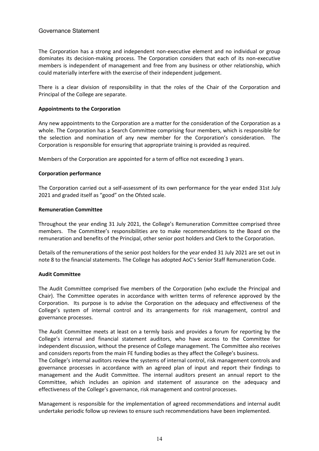The Corporation has a strong and independent non-executive element and no individual or group dominates its decision-making process. The Corporation considers that each of its non-executive members is independent of management and free from any business or other relationship, which could materially interfere with the exercise of their independent judgement.

There is a clear division of responsibility in that the roles of the Chair of the Corporation and Principal of the College are separate.

## **Appointments to the Corporation**

Any new appointments to the Corporation are a matter for the consideration of the Corporation as a whole. The Corporation has a Search Committee comprising four members, which is responsible for the selection and nomination of any new member for the Corporation's consideration. The Corporation is responsible for ensuring that appropriate training is provided as required.

Members of the Corporation are appointed for a term of office not exceeding 3 years.

## **Corporation performance**

The Corporation carried out a self-assessment of its own performance for the year ended 31st July 2021 and graded itself as "good" on the Ofsted scale.

## **Remuneration Committee**

Throughout the year ending 31 July 2021, the College's Remuneration Committee comprised three members. The Committee's responsibilities are to make recommendations to the Board on the remuneration and benefits of the Principal, other senior post holders and Clerk to the Corporation.

Details of the remunerations of the senior post holders for the year ended 31 July 2021 are set out in note 8 to the financial statements. The College has adopted AoC's Senior Staff Remuneration Code.

## **Audit Committee**

The Audit Committee comprised five members of the Corporation (who exclude the Principal and Chair). The Committee operates in accordance with written terms of reference approved by the Corporation. Its purpose is to advise the Corporation on the adequacy and effectiveness of the College's system of internal control and its arrangements for risk management, control and governance processes.

The Audit Committee meets at least on a termly basis and provides a forum for reporting by the College's internal and financial statement auditors, who have access to the Committee for independent discussion, without the presence of College management. The Committee also receives and considers reports from the main FE funding bodies as they affect the College's business.

The College's internal auditors review the systems of internal control, risk management controls and governance processes in accordance with an agreed plan of input and report their findings to management and the Audit Committee. The internal auditors present an annual report to the Committee, which includes an opinion and statement of assurance on the adequacy and effectiveness of the College's governance, risk management and control processes.

Management is responsible for the implementation of agreed recommendations and internal audit undertake periodic follow up reviews to ensure such recommendations have been implemented.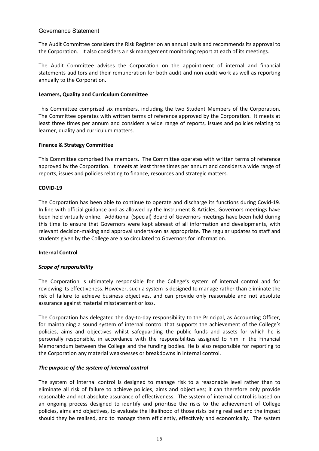The Audit Committee considers the Risk Register on an annual basis and recommends its approval to the Corporation. It also considers a risk management monitoring report at each of its meetings.

The Audit Committee advises the Corporation on the appointment of internal and financial statements auditors and their remuneration for both audit and non-audit work as well as reporting annually to the Corporation.

## **Learners, Quality and Curriculum Committee**

This Committee comprised six members, including the two Student Members of the Corporation. The Committee operates with written terms of reference approved by the Corporation. It meets at least three times per annum and considers a wide range of reports, issues and policies relating to learner, quality and curriculum matters.

## **Finance & Strategy Committee**

This Committee comprised five members. The Committee operates with written terms of reference approved by the Corporation. It meets at least three times per annum and considers a wide range of reports, issues and policies relating to finance, resources and strategic matters.

## **COVID-19**

The Corporation has been able to continue to operate and discharge its functions during Covid-19. In line with official guidance and as allowed by the Instrument & Articles, Governors meetings have been held virtually online. Additional (Special) Board of Governors meetings have been held during this time to ensure that Governors were kept abreast of all information and developments, with relevant decision-making and approval undertaken as appropriate. The regular updates to staff and students given by the College are also circulated to Governors for information.

## **Internal Control**

## *Scope of responsibility*

The Corporation is ultimately responsible for the College's system of internal control and for reviewing its effectiveness. However, such a system is designed to manage rather than eliminate the risk of failure to achieve business objectives, and can provide only reasonable and not absolute assurance against material misstatement or loss.

The Corporation has delegated the day-to-day responsibility to the Principal, as Accounting Officer, for maintaining a sound system of internal control that supports the achievement of the College's policies, aims and objectives whilst safeguarding the public funds and assets for which he is personally responsible, in accordance with the responsibilities assigned to him in the Financial Memorandum between the College and the funding bodies. He is also responsible for reporting to the Corporation any material weaknesses or breakdowns in internal control.

## *The purpose of the system of internal control*

The system of internal control is designed to manage risk to a reasonable level rather than to eliminate all risk of failure to achieve policies, aims and objectives; it can therefore only provide reasonable and not absolute assurance of effectiveness. The system of internal control is based on an ongoing process designed to identify and prioritise the risks to the achievement of College policies, aims and objectives, to evaluate the likelihood of those risks being realised and the impact should they be realised, and to manage them efficiently, effectively and economically. The system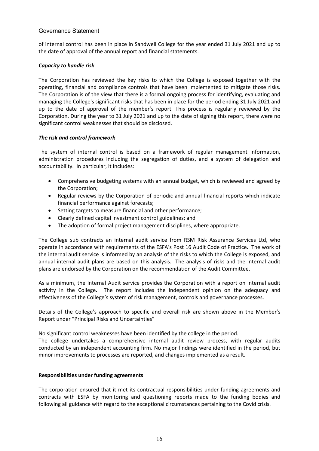of internal control has been in place in Sandwell College for the year ended 31 July 2021 and up to the date of approval of the annual report and financial statements.

## *Capacity to handle risk*

The Corporation has reviewed the key risks to which the College is exposed together with the operating, financial and compliance controls that have been implemented to mitigate those risks. The Corporation is of the view that there is a formal ongoing process for identifying, evaluating and managing the College's significant risks that has been in place for the period ending 31 July 2021 and up to the date of approval of the member's report. This process is regularly reviewed by the Corporation. During the year to 31 July 2021 and up to the date of signing this report, there were no significant control weaknesses that should be disclosed.

## *The risk and control framework*

The system of internal control is based on a framework of regular management information, administration procedures including the segregation of duties, and a system of delegation and accountability. In particular, it includes:

- Comprehensive budgeting systems with an annual budget, which is reviewed and agreed by the Corporation;
- Regular reviews by the Corporation of periodic and annual financial reports which indicate financial performance against forecasts;
- Setting targets to measure financial and other performance;
- Clearly defined capital investment control guidelines; and
- The adoption of formal project management disciplines, where appropriate.

The College sub contracts an internal audit service from RSM Risk Assurance Services Ltd, who operate in accordance with requirements of the ESFA's Post 16 Audit Code of Practice. The work of the internal audit service is informed by an analysis of the risks to which the College is exposed, and annual internal audit plans are based on this analysis. The analysis of risks and the internal audit plans are endorsed by the Corporation on the recommendation of the Audit Committee.

As a minimum, the Internal Audit service provides the Corporation with a report on internal audit activity in the College. The report includes the independent opinion on the adequacy and effectiveness of the College's system of risk management, controls and governance processes.

Details of the College's approach to specific and overall risk are shown above in the Member's Report under "Principal Risks and Uncertainties"

No significant control weaknesses have been identified by the college in the period.

The college undertakes a comprehensive internal audit review process, with regular audits conducted by an independent accounting firm. No major findings were identified in the period, but minor improvements to processes are reported, and changes implemented as a result.

## **Responsibilities under funding agreements**

The corporation ensured that it met its contractual responsibilities under funding agreements and contracts with ESFA by monitoring and questioning reports made to the funding bodies and following all guidance with regard to the exceptional circumstances pertaining to the Covid crisis.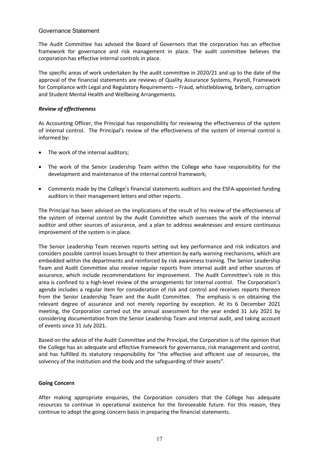The Audit Committee has advised the Board of Governors that the corporation has an effective framework for governance and risk management in place. The audit committee believes the corporation has effective internal controls in place.

The specific areas of work undertaken by the audit committee in 2020/21 and up to the date of the approval of the financial statements are reviews of Quality Assurance Systems, Payroll, Framework for Compliance with Legal and Regulatory Requirements – Fraud, whistleblowing, bribery, corruption and Student Mental Health and Wellbeing Arrangements.

## *Review of effectiveness*

As Accounting Officer, the Principal has responsibility for reviewing the effectiveness of the system of internal control. The Principal's review of the effectiveness of the system of internal control is informed by:

- The work of the internal auditors;
- The work of the Senior Leadership Team within the College who have responsibility for the development and maintenance of the internal control framework;
- Comments made by the College's financial statements auditors and the ESFA-appointed funding auditors in their management letters and other reports.

The Principal has been advised on the implications of the result of his review of the effectiveness of the system of internal control by the Audit Committee which oversees the work of the internal auditor and other sources of assurance, and a plan to address weaknesses and ensure continuous improvement of the system is in place.

The Senior Leadership Team receives reports setting out key performance and risk indicators and considers possible control issues brought to their attention by early warning mechanisms, which are embedded within the departments and reinforced by risk awareness training. The Senior Leadership Team and Audit Committee also receive regular reports from internal audit and other sources of assurance, which include recommendations for improvement. The Audit Committee's role in this area is confined to a high-level review of the arrangements for internal control. The Corporation's agenda includes a regular item for consideration of risk and control and receives reports thereon from the Senior Leadership Team and the Audit Committee. The emphasis is on obtaining the relevant degree of assurance and not merely reporting by exception. At its 6 December 2021 meeting, the Corporation carried out the annual assessment for the year ended 31 July 2021 by considering documentation from the Senior Leadership Team and internal audit, and taking account of events since 31 July 2021.

Based on the advice of the Audit Committee and the Principal, the Corporation is of the opinion that the College has an adequate and effective framework for governance, risk management and control, and has fulfilled its statutory responsibility for "the effective and efficient use of resources, the solvency of the institution and the body and the safeguarding of their assets".

## **Going Concern**

After making appropriate enquiries, the Corporation considers that the College has adequate resources to continue in operational existence for the foreseeable future. For this reason, they continue to adopt the going concern basis in preparing the financial statements.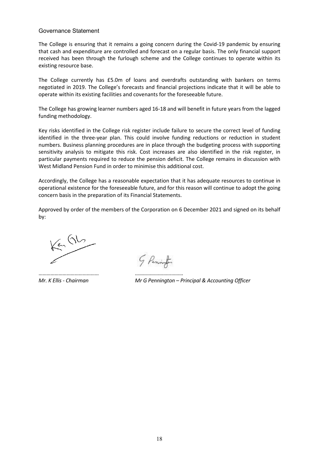The College is ensuring that it remains a going concern during the Covid-19 pandemic by ensuring that cash and expenditure are controlled and forecast on a regular basis. The only financial support received has been through the furlough scheme and the College continues to operate within its existing resource base.

The College currently has £5.0m of loans and overdrafts outstanding with bankers on terms negotiated in 2019. The College's forecasts and financial projections indicate that it will be able to operate within its existing facilities and covenants for the foreseeable future.

The College has growing learner numbers aged 16-18 and will benefit in future years from the lagged funding methodology.

Key risks identified in the College risk register include failure to secure the correct level of funding identified in the three-year plan. This could involve funding reductions or reduction in student numbers. Business planning procedures are in place through the budgeting process with supporting sensitivity analysis to mitigate this risk. Cost increases are also identified in the risk register, in particular payments required to reduce the pension deficit. The College remains in discussion with West Midland Pension Fund in order to minimise this additional cost.

Accordingly, the College has a reasonable expectation that it has adequate resources to continue in operational existence for the foreseeable future, and for this reason will continue to adopt the going concern basis in the preparation of its Financial Statements.

Approved by order of the members of the Corporation on 6 December 2021 and signed on its behalf by:

 $K^{2}$  (1)

……………………………………… ………………………………

5 Pennifer

*Mr. K Ellis - Chairman Mr G Pennington – Principal & Accounting Officer*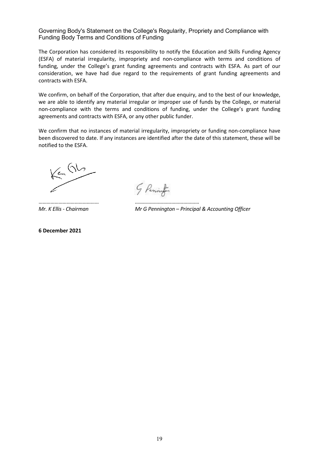Governing Body's Statement on the College's Regularity, Propriety and Compliance with Funding Body Terms and Conditions of Funding

The Corporation has considered its responsibility to notify the Education and Skills Funding Agency (ESFA) of material irregularity, impropriety and non-compliance with terms and conditions of funding, under the College's grant funding agreements and contracts with ESFA. As part of our consideration, we have had due regard to the requirements of grant funding agreements and contracts with ESFA.

We confirm, on behalf of the Corporation, that after due enquiry, and to the best of our knowledge, we are able to identify any material irregular or improper use of funds by the College, or material non-compliance with the terms and conditions of funding, under the College's grant funding agreements and contracts with ESFA, or any other public funder.

We confirm that no instances of material irregularity, impropriety or funding non-compliance have been discovered to date. If any instances are identified after the date of this statement, these will be notified to the ESFA.

 $K_{\frac{c}{2}}$  (16

5 Pennif

……………………………………… …………………………………………

**6 December 2021** 

*Mr. K Ellis - Chairman Mr G Pennington – Principal & Accounting Officer*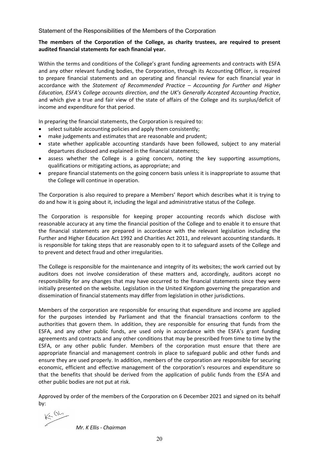Statement of the Responsibilities of the Members of the Corporation

## **The members of the Corporation of the College, as charity trustees, are required to present audited financial statements for each financial year.**

Within the terms and conditions of the College's grant funding agreements and contracts with ESFA and any other relevant funding bodies, the Corporation, through its Accounting Officer, is required to prepare financial statements and an operating and financial review for each financial year in accordance with the *Statement of Recommended Practice – Accounting for Further and Higher Education, ESFA's College accounts direction*, *and the UK's Generally Accepted Accounting Practice*, and which give a true and fair view of the state of affairs of the College and its surplus/deficit of income and expenditure for that period.

In preparing the financial statements, the Corporation is required to:

- select suitable accounting policies and apply them consistently;
- make judgements and estimates that are reasonable and prudent;
- state whether applicable accounting standards have been followed, subject to any material departures disclosed and explained in the financial statements;
- assess whether the College is a going concern, noting the key supporting assumptions, qualifications or mitigating actions, as appropriate; and
- prepare financial statements on the going concern basis unless it is inappropriate to assume that the College will continue in operation.

The Corporation is also required to prepare a Members' Report which describes what it is trying to do and how it is going about it, including the legal and administrative status of the College.

The Corporation is responsible for keeping proper accounting records which disclose with reasonable accuracy at any time the financial position of the College and to enable it to ensure that the financial statements are prepared in accordance with the relevant legislation including the Further and Higher Education Act 1992 and Charities Act 2011, and relevant accounting standards. It is responsible for taking steps that are reasonably open to it to safeguard assets of the College and to prevent and detect fraud and other irregularities.

The College is responsible for the maintenance and integrity of its websites; the work carried out by auditors does not involve consideration of these matters and, accordingly, auditors accept no responsibility for any changes that may have occurred to the financial statements since they were initially presented on the website. Legislation in the United Kingdom governing the preparation and dissemination of financial statements may differ from legislation in other jurisdictions.

Members of the corporation are responsible for ensuring that expenditure and income are applied for the purposes intended by Parliament and that the financial transactions conform to the authorities that govern them. In addition, they are responsible for ensuring that funds from the ESFA, and any other public funds, are used only in accordance with the ESFA's grant funding agreements and contracts and any other conditions that may be prescribed from time to time by the ESFA, or any other public funder. Members of the corporation must ensure that there are appropriate financial and management controls in place to safeguard public and other funds and ensure they are used properly. In addition, members of the corporation are responsible for securing economic, efficient and effective management of the corporation's resources and expenditure so that the benefits that should be derived from the application of public funds from the ESFA and other public bodies are not put at risk.

Approved by order of the members of the Corporation on 6 December 2021 and signed on its behalf by:

 $K = \frac{QL}{L}$ 

*Mr. K Ellis - Chairman*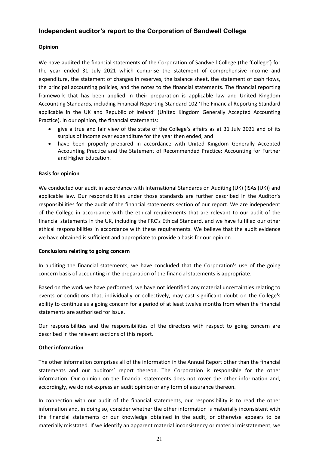## **Independent auditor's report to the Corporation of Sandwell College**

## **Opinion**

We have audited the financial statements of the Corporation of Sandwell College (the 'College') for the year ended 31 July 2021 which comprise the statement of comprehensive income and expenditure, the statement of changes in reserves, the balance sheet, the statement of cash flows, the principal accounting policies, and the notes to the financial statements. The financial reporting framework that has been applied in their preparation is applicable law and United Kingdom Accounting Standards, including Financial Reporting Standard 102 'The Financial Reporting Standard applicable in the UK and Republic of Ireland' (United Kingdom Generally Accepted Accounting Practice). In our opinion, the financial statements:

- give a true and fair view of the state of the College's affairs as at 31 July 2021 and of its surplus of income over expenditure for the year then ended; and
- have been properly prepared in accordance with United Kingdom Generally Accepted Accounting Practice and the Statement of Recommended Practice: Accounting for Further and Higher Education.

## **Basis for opinion**

We conducted our audit in accordance with International Standards on Auditing (UK) (ISAs (UK)) and applicable law. Our responsibilities under those standards are further described in the Auditor's responsibilities for the audit of the financial statements section of our report. We are independent of the College in accordance with the ethical requirements that are relevant to our audit of the financial statements in the UK, including the FRC's Ethical Standard, and we have fulfilled our other ethical responsibilities in accordance with these requirements. We believe that the audit evidence we have obtained is sufficient and appropriate to provide a basis for our opinion.

## **Conclusions relating to going concern**

In auditing the financial statements, we have concluded that the Corporation's use of the going concern basis of accounting in the preparation of the financial statements is appropriate.

Based on the work we have performed, we have not identified any material uncertainties relating to events or conditions that, individually or collectively, may cast significant doubt on the College's ability to continue as a going concern for a period of at least twelve months from when the financial statements are authorised for issue.

Our responsibilities and the responsibilities of the directors with respect to going concern are described in the relevant sections of this report.

## **Other information**

The other information comprises all of the information in the Annual Report other than the financial statements and our auditors' report thereon. The Corporation is responsible for the other information. Our opinion on the financial statements does not cover the other information and, accordingly, we do not express an audit opinion or any form of assurance thereon.

In connection with our audit of the financial statements, our responsibility is to read the other information and, in doing so, consider whether the other information is materially inconsistent with the financial statements or our knowledge obtained in the audit, or otherwise appears to be materially misstated. If we identify an apparent material inconsistency or material misstatement, we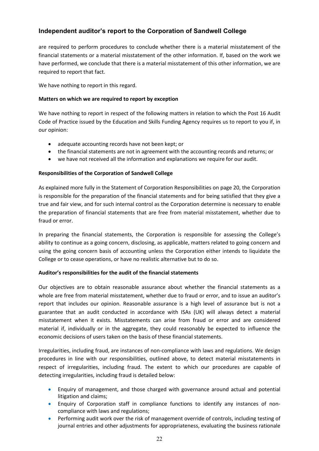## **Independent auditor's report to the Corporation of Sandwell College**

are required to perform procedures to conclude whether there is a material misstatement of the financial statements or a material misstatement of the other information. If, based on the work we have performed, we conclude that there is a material misstatement of this other information, we are required to report that fact.

We have nothing to report in this regard.

## **Matters on which we are required to report by exception**

We have nothing to report in respect of the following matters in relation to which the Post 16 Audit Code of Practice issued by the Education and Skills Funding Agency requires us to report to you if, in our opinion:

- adequate accounting records have not been kept; or
- the financial statements are not in agreement with the accounting records and returns; or
- we have not received all the information and explanations we require for our audit.

## **Responsibilities of the Corporation of Sandwell College**

As explained more fully in the Statement of Corporation Responsibilities on page 20, the Corporation is responsible for the preparation of the financial statements and for being satisfied that they give a true and fair view, and for such internal control as the Corporation determine is necessary to enable the preparation of financial statements that are free from material misstatement, whether due to fraud or error.

In preparing the financial statements, the Corporation is responsible for assessing the College's ability to continue as a going concern, disclosing, as applicable, matters related to going concern and using the going concern basis of accounting unless the Corporation either intends to liquidate the College or to cease operations, or have no realistic alternative but to do so.

## **Auditor's responsibilities for the audit of the financial statements**

Our objectives are to obtain reasonable assurance about whether the financial statements as a whole are free from material misstatement, whether due to fraud or error, and to issue an auditor's report that includes our opinion. Reasonable assurance is a high level of assurance but is not a guarantee that an audit conducted in accordance with ISAs (UK) will always detect a material misstatement when it exists. Misstatements can arise from fraud or error and are considered material if, individually or in the aggregate, they could reasonably be expected to influence the economic decisions of users taken on the basis of these financial statements.

Irregularities, including fraud, are instances of non-compliance with laws and regulations. We design procedures in line with our responsibilities, outlined above, to detect material misstatements in respect of irregularities, including fraud. The extent to which our procedures are capable of detecting irregularities, including fraud is detailed below:

- Enquiry of management, and those charged with governance around actual and potential litigation and claims;
- Enquiry of Corporation staff in compliance functions to identify any instances of noncompliance with laws and regulations;
- Performing audit work over the risk of management override of controls, including testing of journal entries and other adjustments for appropriateness, evaluating the business rationale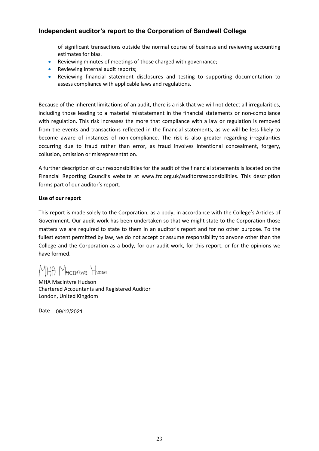## **Independent auditor's report to the Corporation of Sandwell College**

of significant transactions outside the normal course of business and reviewing accounting estimates for bias.

- Reviewing minutes of meetings of those charged with governance;
- Reviewing internal audit reports;
- Reviewing financial statement disclosures and testing to supporting documentation to assess compliance with applicable laws and regulations.

Because of the inherent limitations of an audit, there is a risk that we will not detect all irregularities, including those leading to a material misstatement in the financial statements or non-compliance with regulation. This risk increases the more that compliance with a law or regulation is removed from the events and transactions reflected in the financial statements, as we will be less likely to become aware of instances of non-compliance. The risk is also greater regarding irregularities occurring due to fraud rather than error, as fraud involves intentional concealment, forgery, collusion, omission or misrepresentation.

A further description of our responsibilities for the audit of the financial statements is located on the Financial Reporting Council's website at www.frc.org.uk/auditorsresponsibilities. This description forms part of our auditor's report.

## **Use of our report**

This report is made solely to the Corporation, as a body, in accordance with the College's Articles of Government. Our audit work has been undertaken so that we might state to the Corporation those matters we are required to state to them in an auditor's report and for no other purpose. To the fullest extent permitted by law, we do not accept or assume responsibility to anyone other than the College and the Corporation as a body, for our audit work, for this report, or for the opinions we have formed.

MHA MACINTYRE HUDSON

MHA MacIntyre Hudson Chartered Accountants and Registered Auditor London, United Kingdom

Date 09/12/2021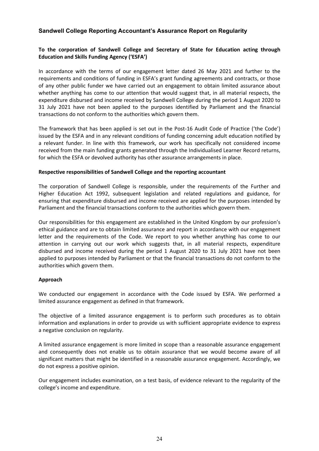## **Sandwell College Reporting Accountant's Assurance Report on Regularity**

## **To the corporation of Sandwell College and Secretary of State for Education acting through Education and Skills Funding Agency ('ESFA')**

In accordance with the terms of our engagement letter dated 26 May 2021 and further to the requirements and conditions of funding in ESFA's grant funding agreements and contracts, or those of any other public funder we have carried out an engagement to obtain limited assurance about whether anything has come to our attention that would suggest that, in all material respects, the expenditure disbursed and income received by Sandwell College during the period 1 August 2020 to 31 July 2021 have not been applied to the purposes identified by Parliament and the financial transactions do not conform to the authorities which govern them.

The framework that has been applied is set out in the Post-16 Audit Code of Practice ('the Code') issued by the ESFA and in any relevant conditions of funding concerning adult education notified by a relevant funder. In line with this framework, our work has specifically not considered income received from the main funding grants generated through the Individualised Learner Record returns, for which the ESFA or devolved authority has other assurance arrangements in place.

## **Respective responsibilities of Sandwell College and the reporting accountant**

The corporation of Sandwell College is responsible, under the requirements of the Further and Higher Education Act 1992, subsequent legislation and related regulations and guidance, for ensuring that expenditure disbursed and income received are applied for the purposes intended by Parliament and the financial transactions conform to the authorities which govern them.

Our responsibilities for this engagement are established in the United Kingdom by our profession's ethical guidance and are to obtain limited assurance and report in accordance with our engagement letter and the requirements of the Code. We report to you whether anything has come to our attention in carrying out our work which suggests that, in all material respects, expenditure disbursed and income received during the period 1 August 2020 to 31 July 2021 have not been applied to purposes intended by Parliament or that the financial transactions do not conform to the authorities which govern them.

## **Approach**

We conducted our engagement in accordance with the Code issued by ESFA. We performed a limited assurance engagement as defined in that framework.

The objective of a limited assurance engagement is to perform such procedures as to obtain information and explanations in order to provide us with sufficient appropriate evidence to express a negative conclusion on regularity.

A limited assurance engagement is more limited in scope than a reasonable assurance engagement and consequently does not enable us to obtain assurance that we would become aware of all significant matters that might be identified in a reasonable assurance engagement. Accordingly, we do not express a positive opinion.

Our engagement includes examination, on a test basis, of evidence relevant to the regularity of the college's income and expenditure.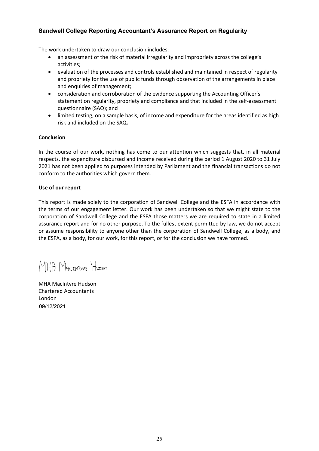## **Sandwell College Reporting Accountant's Assurance Report on Regularity**

The work undertaken to draw our conclusion includes:

- an assessment of the risk of material irregularity and impropriety across the college's activities;
- evaluation of the processes and controls established and maintained in respect of regularity and propriety for the use of public funds through observation of the arrangements in place and enquiries of management;
- consideration and corroboration of the evidence supporting the Accounting Officer's statement on regularity, propriety and compliance and that included in the self-assessment questionnaire (SAQ); and
- limited testing, on a sample basis, of income and expenditure for the areas identified as high risk and included on the SAQ**.**

## **Conclusion**

In the course of our work**,** nothing has come to our attention which suggests that, in all material respects, the expenditure disbursed and income received during the period 1 August 2020 to 31 July 2021 has not been applied to purposes intended by Parliament and the financial transactions do not conform to the authorities which govern them.

## **Use of our report**

This report is made solely to the corporation of Sandwell College and the ESFA in accordance with the terms of our engagement letter. Our work has been undertaken so that we might state to the corporation of Sandwell College and the ESFA those matters we are required to state in a limited assurance report and for no other purpose. To the fullest extent permitted by law, we do not accept or assume responsibility to anyone other than the corporation of Sandwell College, as a body, and the ESFA, as a body, for our work, for this report, or for the conclusion we have formed.

MHA MACINTYRE HUDSON

MHA MacIntyre Hudson Chartered Accountants London 09/12/2021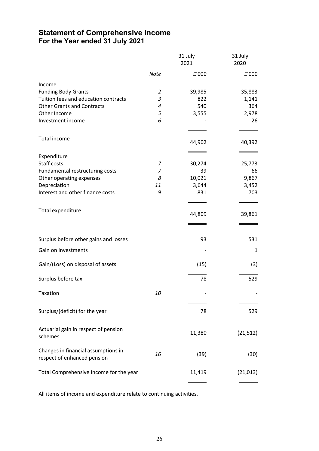## **Statement of Comprehensive Income For the Year ended 31 July 2021**

| <b>Note</b><br>Income<br><b>Funding Body Grants</b><br>$\overline{2}$    | f'000<br>39,985<br>822<br>540 | $\rm{f}^{\prime}000$<br>35,883 |
|--------------------------------------------------------------------------|-------------------------------|--------------------------------|
|                                                                          |                               |                                |
|                                                                          |                               |                                |
|                                                                          |                               |                                |
| Tuition fees and education contracts<br>$\ensuremath{\mathsf{3}}$        |                               | 1,141                          |
| <b>Other Grants and Contracts</b><br>4                                   |                               | 364                            |
| $\sqrt{5}$<br>Other Income                                               | 3,555                         | 2,978                          |
| 6<br>Investment income                                                   |                               | 26                             |
| Total income                                                             | 44,902                        | 40,392                         |
| Expenditure                                                              |                               |                                |
| Staff costs<br>7                                                         | 30,274                        | 25,773                         |
| 7<br>Fundamental restructuring costs                                     | 39                            | 66                             |
| Other operating expenses<br>8                                            | 10,021                        | 9,867                          |
| Depreciation<br>11                                                       | 3,644                         | 3,452                          |
| Interest and other finance costs<br>9                                    | 831                           | 703                            |
| Total expenditure                                                        | 44,809                        | 39,861                         |
| Surplus before other gains and losses                                    | 93                            | 531                            |
| Gain on investments                                                      |                               | 1                              |
| Gain/(Loss) on disposal of assets                                        | (15)                          | (3)                            |
| Surplus before tax                                                       | 78                            | 529                            |
| 10<br>Taxation                                                           |                               |                                |
| Surplus/(deficit) for the year                                           | 78                            | 529                            |
| Actuarial gain in respect of pension<br>schemes                          | 11,380                        | (21, 512)                      |
| Changes in financial assumptions in<br>16<br>respect of enhanced pension | (39)                          | (30)                           |
| Total Comprehensive Income for the year                                  | 11,419                        | (21, 013)                      |

All items of income and expenditure relate to continuing activities.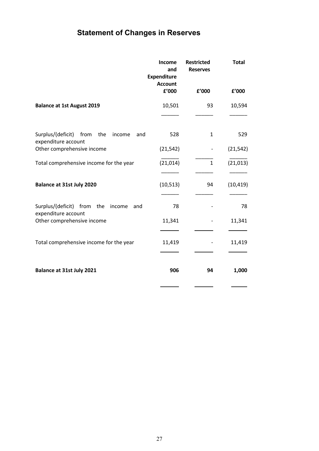## **Statement of Changes in Reserves**

|                                                                       | Income<br>and<br><b>Expenditure</b><br><b>Account</b> | <b>Restricted</b><br><b>Reserves</b> | <b>Total</b> |
|-----------------------------------------------------------------------|-------------------------------------------------------|--------------------------------------|--------------|
|                                                                       | £'000                                                 | £'000                                | f'000        |
| <b>Balance at 1st August 2019</b>                                     | 10,501                                                | 93                                   | 10,594       |
|                                                                       |                                                       |                                      |              |
| Surplus/(deficit) from<br>the<br>income<br>and<br>expenditure account | 528                                                   | $\mathbf{1}$                         | 529          |
| Other comprehensive income                                            | (21, 542)                                             |                                      | (21, 542)    |
| Total comprehensive income for the year                               | (21, 014)                                             | $\mathbf{1}$                         | (21, 013)    |
|                                                                       |                                                       |                                      |              |
| <b>Balance at 31st July 2020</b>                                      | (10, 513)                                             | 94                                   | (10, 419)    |
| Surplus/(deficit) from the<br>income<br>and                           | 78                                                    |                                      | 78           |
| expenditure account<br>Other comprehensive income                     | 11,341                                                |                                      | 11,341       |
| Total comprehensive income for the year                               | 11,419                                                |                                      | 11,419       |
| Balance at 31st July 2021                                             | 906                                                   | 94                                   | 1,000        |
|                                                                       |                                                       |                                      |              |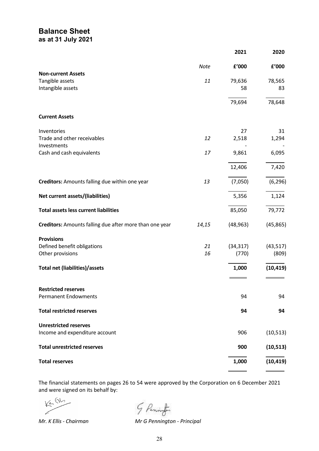## **Balance Sheet as at 31 July 2021**

|                                                         |             | 2021      | 2020      |
|---------------------------------------------------------|-------------|-----------|-----------|
|                                                         | <b>Note</b> | £'000     | f'000     |
| <b>Non-current Assets</b>                               |             |           |           |
| Tangible assets                                         | 11          | 79,636    | 78,565    |
| Intangible assets                                       |             | 58        | 83        |
|                                                         |             | 79,694    | 78,648    |
| <b>Current Assets</b>                                   |             |           |           |
| Inventories                                             |             | 27        | 31        |
| Trade and other receivables                             | 12          | 2,518     | 1,294     |
| Investments                                             |             |           |           |
| Cash and cash equivalents                               | 17          | 9,861     | 6,095     |
|                                                         |             | 12,406    | 7,420     |
| Creditors: Amounts falling due within one year          | 13          | (7,050)   | (6, 296)  |
| Net current assets/(liabilities)                        |             | 5,356     | 1,124     |
| <b>Total assets less current liabilities</b>            |             | 85,050    | 79,772    |
| Creditors: Amounts falling due after more than one year | 14,15       | (48, 963) | (45, 865) |
| <b>Provisions</b>                                       |             |           |           |
| Defined benefit obligations                             | 21          | (34, 317) | (43, 517) |
| Other provisions                                        | 16          | (770)     | (809)     |
| <b>Total net (liabilities)/assets</b>                   |             | 1,000     | (10, 419) |
| <b>Restricted reserves</b>                              |             |           |           |
| <b>Permanent Endowments</b>                             |             | 94        | 94        |
| <b>Total restricted reserves</b>                        |             | 94        | 94        |
| <b>Unrestricted reserves</b>                            |             |           |           |
| Income and expenditure account                          |             | 906       | (10, 513) |
| <b>Total unrestricted reserves</b>                      |             | 900       | (10, 513) |
| <b>Total reserves</b>                                   |             | 1,000     | (10, 419) |
|                                                         |             |           |           |

The financial statements on pages 26 to 54 were approved by the Corporation on 6 December 2021 and were signed on its behalf by:

 $K^{2}$  (16

G Penint

**Mr. K Ellis - Chairman** 

*Mr. K Ellis - Chairman Mr G Pennington - Principal*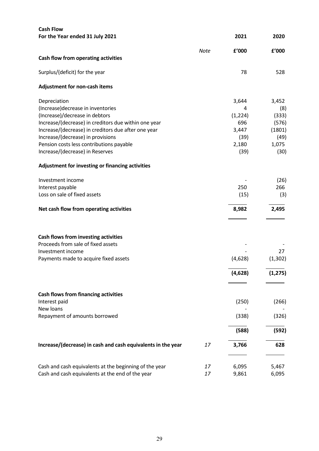| <b>Cash Flow</b>                                             |             |          |          |
|--------------------------------------------------------------|-------------|----------|----------|
| For the Year ended 31 July 2021                              |             | 2021     | 2020     |
|                                                              | <b>Note</b> | f'000    | f'000    |
| Cash flow from operating activities                          |             |          |          |
| Surplus/(deficit) for the year                               |             | 78       | 528      |
| Adjustment for non-cash items                                |             |          |          |
| Depreciation                                                 |             | 3,644    | 3,452    |
| (Increase) decrease in inventories                           |             | 4        | (8)      |
| (Increase)/decrease in debtors                               |             | (1, 224) | (333)    |
| Increase/(decrease) in creditors due within one year         |             | 696      | (576)    |
| Increase/(decrease) in creditors due after one year          |             | 3,447    | (1801)   |
| Increase/(decrease) in provisions                            |             | (39)     | (49)     |
| Pension costs less contributions payable                     |             | 2,180    | 1,075    |
| Increase/(decrease) in Reserves                              |             | (39)     | (30)     |
| Adjustment for investing or financing activities             |             |          |          |
| Investment income                                            |             |          | (26)     |
| Interest payable                                             |             | 250      | 266      |
| Loss on sale of fixed assets                                 |             | (15)     | (3)      |
| Net cash flow from operating activities                      |             | 8,982    | 2,495    |
|                                                              |             |          |          |
| Cash flows from investing activities                         |             |          |          |
| Proceeds from sale of fixed assets                           |             |          |          |
| Investment income                                            |             |          | 27       |
| Payments made to acquire fixed assets                        |             | (4,628)  | (1, 302) |
|                                                              |             | (4,628)  | (1, 275) |
|                                                              |             |          |          |
| <b>Cash flows from financing activities</b><br>Interest paid |             | (250)    | (266)    |
| New loans                                                    |             |          |          |
| Repayment of amounts borrowed                                |             | (338)    | (326)    |
|                                                              |             | (588)    | (592)    |
|                                                              |             |          |          |
| Increase/(decrease) in cash and cash equivalents in the year | 17          | 3,766    | 628      |
| Cash and cash equivalents at the beginning of the year       | 17          | 6,095    | 5,467    |
| Cash and cash equivalents at the end of the year             | 17          | 9,861    | 6,095    |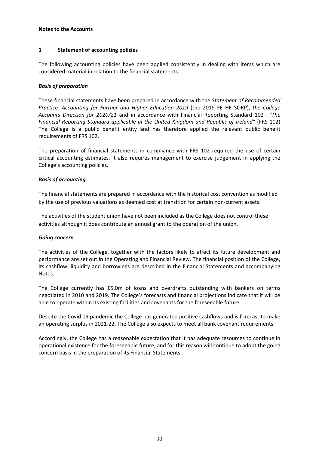## **1 Statement of accounting policies**

The following accounting policies have been applied consistently in dealing with items which are considered material in relation to the financial statements.

## *Basis of preparation*

These financial statements have been prepared in accordance with the *Statement of Recommended Practice: Accounting for Further and Higher Education 2019* (the 2019 FE HE SORP), *the College Accounts Direction for 2020/21* and in accordance with Financial Reporting Standard 102*– "The Financial Reporting Standard applicable in the United Kingdom and Republic of Ireland"* (FRS 102) The College is a public benefit entity and has therefore applied the relevant public benefit requirements of FRS 102.

The preparation of financial statements in compliance with FRS 102 required the use of certain critical accounting estimates. It also requires management to exercise judgement in applying the College's accounting policies.

## *Basis of accounting*

The financial statements are prepared in accordance with the historical cost convention as modified by the use of previous valuations as deemed cost at transition for certain non-current assets.

The activities of the student union have not been included as the College does not control these activities although it does contribute an annual grant to the operation of the union.

## *Going concern*

The activities of the College, together with the factors likely to affect its future development and performance are set out in the Operating and Financial Review. The financial position of the College, its cashflow, liquidity and borrowings are described in the Financial Statements and accompanying Notes.

The College currently has £5.0m of loans and overdrafts outstanding with bankers on terms negotiated in 2010 and 2019. The College's forecasts and financial projections indicate that it will be able to operate within its existing facilities and covenants for the foreseeable future.

Despite the Covid 19 pandemic the College has generated positive cashflows and is forecast to make an operating surplus in 2021-22. The College also expects to meet all bank covenant requirements.

Accordingly, the College has a reasonable expectation that it has adequate resources to continue in operational existence for the foreseeable future, and for this reason will continue to adopt the going concern basis in the preparation of its Financial Statements.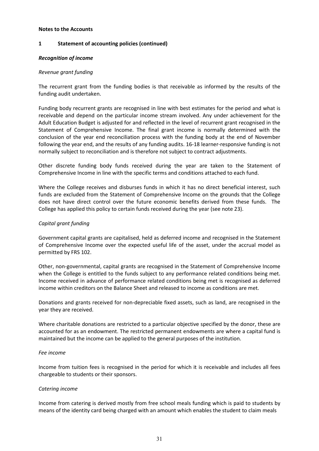## **1 Statement of accounting policies (continued)**

## *Recognition of income*

## *Revenue grant funding*

The recurrent grant from the funding bodies is that receivable as informed by the results of the funding audit undertaken.

Funding body recurrent grants are recognised in line with best estimates for the period and what is receivable and depend on the particular income stream involved. Any under achievement for the Adult Education Budget is adjusted for and reflected in the level of recurrent grant recognised in the Statement of Comprehensive Income. The final grant income is normally determined with the conclusion of the year end reconciliation process with the funding body at the end of November following the year end, and the results of any funding audits. 16-18 learner-responsive funding is not normally subject to reconciliation and is therefore not subject to contract adjustments.

Other discrete funding body funds received during the year are taken to the Statement of Comprehensive Income in line with the specific terms and conditions attached to each fund.

Where the College receives and disburses funds in which it has no direct beneficial interest, such funds are excluded from the Statement of Comprehensive Income on the grounds that the College does not have direct control over the future economic benefits derived from these funds. The College has applied this policy to certain funds received during the year (see note 23).

## *Capital grant funding*

Government capital grants are capitalised, held as deferred income and recognised in the Statement of Comprehensive Income over the expected useful life of the asset, under the accrual model as permitted by FRS 102.

Other, non-governmental, capital grants are recognised in the Statement of Comprehensive Income when the College is entitled to the funds subject to any performance related conditions being met. Income received in advance of performance related conditions being met is recognised as deferred income within creditors on the Balance Sheet and released to income as conditions are met.

Donations and grants received for non-depreciable fixed assets, such as land, are recognised in the year they are received.

Where charitable donations are restricted to a particular objective specified by the donor, these are accounted for as an endowment. The restricted permanent endowments are where a capital fund is maintained but the income can be applied to the general purposes of the institution.

## *Fee income*

Income from tuition fees is recognised in the period for which it is receivable and includes all fees chargeable to students or their sponsors.

## *Catering income*

Income from catering is derived mostly from free school meals funding which is paid to students by means of the identity card being charged with an amount which enables the student to claim meals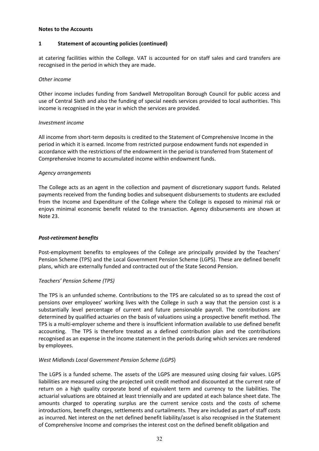## **1 Statement of accounting policies (continued)**

at catering facilities within the College. VAT is accounted for on staff sales and card transfers are recognised in the period in which they are made.

## *Other income*

Other income includes funding from Sandwell Metropolitan Borough Council for public access and use of Central Sixth and also the funding of special needs services provided to local authorities. This income is recognised in the year in which the services are provided.

## *Investment income*

All income from short-term deposits is credited to the Statement of Comprehensive Income in the period in which it is earned. Income from restricted purpose endowment funds not expended in accordance with the restrictions of the endowment in the period is transferred from Statement of Comprehensive Income to accumulated income within endowment funds.

## *Agency arrangements*

The College acts as an agent in the collection and payment of discretionary support funds. Related payments received from the funding bodies and subsequent disbursements to students are excluded from the Income and Expenditure of the College where the College is exposed to minimal risk or enjoys minimal economic benefit related to the transaction. Agency disbursements are shown at Note 23.

## *Post-retirement benefits*

Post-employment benefits to employees of the College are principally provided by the Teachers' Pension Scheme (TPS) and the Local Government Pension Scheme (LGPS). These are defined benefit plans, which are externally funded and contracted out of the State Second Pension.

## *Teachers' Pension Scheme (TPS)*

The TPS is an unfunded scheme. Contributions to the TPS are calculated so as to spread the cost of pensions over employees' working lives with the College in such a way that the pension cost is a substantially level percentage of current and future pensionable payroll. The contributions are determined by qualified actuaries on the basis of valuations using a prospective benefit method. The TPS is a multi-employer scheme and there is insufficient information available to use defined benefit accounting. The TPS is therefore treated as a defined contribution plan and the contributions recognised as an expense in the income statement in the periods during which services are rendered by employees.

## *West Midlands Local Government Pension Scheme (LGPS*)

The LGPS is a funded scheme. The assets of the LGPS are measured using closing fair values. LGPS liabilities are measured using the projected unit credit method and discounted at the current rate of return on a high quality corporate bond of equivalent term and currency to the liabilities. The actuarial valuations are obtained at least triennially and are updated at each balance sheet date. The amounts charged to operating surplus are the current service costs and the costs of scheme introductions, benefit changes, settlements and curtailments. They are included as part of staff costs as incurred. Net interest on the net defined benefit liability/asset is also recognised in the Statement of Comprehensive Income and comprises the interest cost on the defined benefit obligation and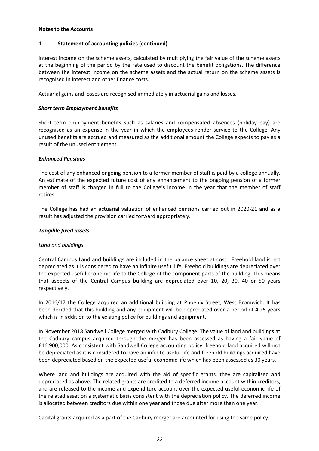## **1 Statement of accounting policies (continued)**

interest income on the scheme assets, calculated by multiplying the fair value of the scheme assets at the beginning of the period by the rate used to discount the benefit obligations. The difference between the interest income on the scheme assets and the actual return on the scheme assets is recognised in interest and other finance costs.

Actuarial gains and losses are recognised immediately in actuarial gains and losses.

## *Short term Employment benefits*

Short term employment benefits such as salaries and compensated absences (holiday pay) are recognised as an expense in the year in which the employees render service to the College. Any unused benefits are accrued and measured as the additional amount the College expects to pay as a result of the unused entitlement.

## *Enhanced Pensions*

The cost of any enhanced ongoing pension to a former member of staff is paid by a college annually. An estimate of the expected future cost of any enhancement to the ongoing pension of a former member of staff is charged in full to the College's income in the year that the member of staff retires.

The College has had an actuarial valuation of enhanced pensions carried out in 2020-21 and as a result has adjusted the provision carried forward appropriately.

## *Tangible fixed assets*

## *Land and buildings*

Central Campus Land and buildings are included in the balance sheet at cost. Freehold land is not depreciated as it is considered to have an infinite useful life. Freehold buildings are depreciated over the expected useful economic life to the College of the component parts of the building. This means that aspects of the Central Campus building are depreciated over 10, 20, 30, 40 or 50 years respectively.

In 2016/17 the College acquired an additional building at Phoenix Street, West Bromwich. It has been decided that this building and any equipment will be depreciated over a period of 4.25 years which is in addition to the existing policy for buildings and equipment.

In November 2018 Sandwell College merged with Cadbury College. The value of land and buildings at the Cadbury campus acquired through the merger has been assessed as having a fair value of £16,900,000. As consistent with Sandwell College accounting policy, freehold land acquired will not be depreciated as it is considered to have an infinite useful life and freehold buildings acquired have been depreciated based on the expected useful economic life which has been assessed as 30 years.

Where land and buildings are acquired with the aid of specific grants, they are capitalised and depreciated as above. The related grants are credited to a deferred income account within creditors, and are released to the income and expenditure account over the expected useful economic life of the related asset on a systematic basis consistent with the depreciation policy. The deferred income is allocated between creditors due within one year and those due after more than one year.

Capital grants acquired as a part of the Cadbury merger are accounted for using the same policy.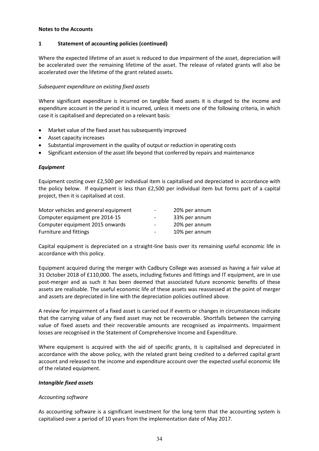## **1 Statement of accounting policies (continued)**

Where the expected lifetime of an asset is reduced to due impairment of the asset, depreciation will be accelerated over the remaining lifetime of the asset. The release of related grants will also be accelerated over the lifetime of the grant related assets.

## *Subsequent expenditure on existing fixed assets*

Where significant expenditure is incurred on tangible fixed assets it is charged to the income and expenditure account in the period it is incurred, unless it meets one of the following criteria, in which case it is capitalised and depreciated on a relevant basis:

- Market value of the fixed asset has subsequently improved
- Asset capacity increases
- Substantial improvement in the quality of output or reduction in operating costs
- Significant extension of the asset life beyond that conferred by repairs and maintenance

## *Equipment*

Equipment costing over £2,500 per individual item is capitalised and depreciated in accordance with the policy below. If equipment is less than £2,500 per individual item but forms part of a capital project, then it is capitalised at cost.

| Motor vehicles and general equipment | $\overline{\phantom{a}}$ | 20% per annum |
|--------------------------------------|--------------------------|---------------|
| Computer equipment pre 2014-15       | -                        | 33% per annum |
| Computer equipment 2015 onwards      | $\overline{\phantom{a}}$ | 20% per annum |
| <b>Furniture and fittings</b>        | $\overline{\phantom{0}}$ | 10% per annum |

Capital equipment is depreciated on a straight-line basis over its remaining useful economic life in accordance with this policy.

Equipment acquired during the merger with Cadbury College was assessed as having a fair value at 31 October 2018 of £110,000. The assets, including fixtures and fittings and IT equipment, are in use post-merger and as such it has been deemed that associated future economic benefits of these assets are realisable. The useful economic life of these assets was reassessed at the point of merger and assets are depreciated in line with the depreciation policies outlined above.

A review for impairment of a fixed asset is carried out if events or changes in circumstances indicate that the carrying value of any fixed asset may not be recoverable. Shortfalls between the carrying value of fixed assets and their recoverable amounts are recognised as impairments. Impairment losses are recognised in the Statement of Comprehensive Income and Expenditure.

Where equipment is acquired with the aid of specific grants, it is capitalised and depreciated in accordance with the above policy, with the related grant being credited to a deferred capital grant account and released to the income and expenditure account over the expected useful economic life of the related equipment.

## *Intangible fixed assets*

## *Accounting software*

As accounting software is a significant investment for the long term that the accounting system is capitalised over a period of 10 years from the implementation date of May 2017.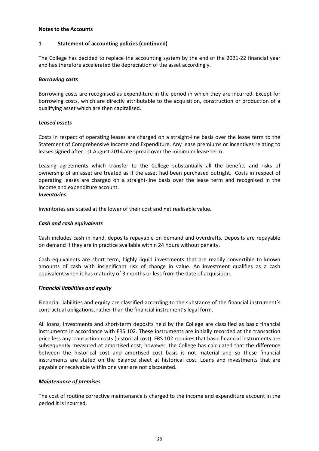## **1 Statement of accounting policies (continued)**

The College has decided to replace the accounting system by the end of the 2021-22 financial year and has therefore accelerated the depreciation of the asset accordingly.

## *Borrowing costs*

Borrowing costs are recognised as expenditure in the period in which they are incurred. Except for borrowing costs, which are directly attributable to the acquisition, construction or production of a qualifying asset which are then capitalised.

## *Leased assets*

Costs in respect of operating leases are charged on a straight-line basis over the lease term to the Statement of Comprehensive Income and Expenditure. Any lease premiums or incentives relating to leases signed after 1st August 2014 are spread over the minimum lease term.

Leasing agreements which transfer to the College substantially all the benefits and risks of ownership of an asset are treated as if the asset had been purchased outright. Costs in respect of operating leases are charged on a straight-line basis over the lease term and recognised in the income and expenditure account.

## *Inventories*

Inventories are stated at the lower of their cost and net realisable value.

## *Cash and cash equivalents*

Cash includes cash in hand, deposits repayable on demand and overdrafts. Deposits are repayable on demand if they are in practice available within 24 hours without penalty.

Cash equivalents are short term, highly liquid investments that are readily convertible to known amounts of cash with insignificant risk of change in value. An investment qualifies as a cash equivalent when it has maturity of 3 months or less from the date of acquisition.

## *Financial liabilities and equity*

Financial liabilities and equity are classified according to the substance of the financial instrument's contractual obligations, rather than the financial instrument's legal form.

All loans, investments and short-term deposits held by the College are classified as basic financial instruments in accordance with FRS 102. These instruments are initially recorded at the transaction price less any transaction costs (historical cost). FRS 102 requires that basic financial instruments are subsequently measured at amortised cost; however, the College has calculated that the difference between the historical cost and amortised cost basis is not material and so these financial instruments are stated on the balance sheet at historical cost. Loans and investments that are payable or receivable within one year are not discounted.

## *Maintenance of premises*

The cost of routine corrective maintenance is charged to the income and expenditure account in the period it is incurred.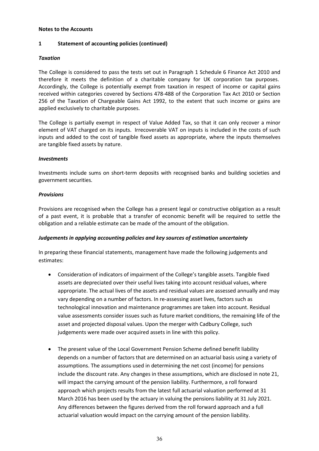## **1 Statement of accounting policies (continued)**

## *Taxation*

The College is considered to pass the tests set out in Paragraph 1 Schedule 6 Finance Act 2010 and therefore it meets the definition of a charitable company for UK corporation tax purposes. Accordingly, the College is potentially exempt from taxation in respect of income or capital gains received within categories covered by Sections 478-488 of the Corporation Tax Act 2010 or Section 256 of the Taxation of Chargeable Gains Act 1992, to the extent that such income or gains are applied exclusively to charitable purposes.

The College is partially exempt in respect of Value Added Tax, so that it can only recover a minor element of VAT charged on its inputs. Irrecoverable VAT on inputs is included in the costs of such inputs and added to the cost of tangible fixed assets as appropriate, where the inputs themselves are tangible fixed assets by nature.

## *Investments*

Investments include sums on short-term deposits with recognised banks and building societies and government securities.

## *Provisions*

Provisions are recognised when the College has a present legal or constructive obligation as a result of a past event, it is probable that a transfer of economic benefit will be required to settle the obligation and a reliable estimate can be made of the amount of the obligation.

## *Judgements in applying accounting policies and key sources of estimation uncertainty*

In preparing these financial statements, management have made the following judgements and estimates:

- Consideration of indicators of impairment of the College's tangible assets. Tangible fixed assets are depreciated over their useful lives taking into account residual values, where appropriate. The actual lives of the assets and residual values are assessed annually and may vary depending on a number of factors. In re-assessing asset lives, factors such as technological innovation and maintenance programmes are taken into account. Residual value assessments consider issues such as future market conditions, the remaining life of the asset and projected disposal values. Upon the merger with Cadbury College, such judgements were made over acquired assets in line with this policy.
- The present value of the Local Government Pension Scheme defined benefit liability depends on a number of factors that are determined on an actuarial basis using a variety of assumptions. The assumptions used in determining the net cost (income) for pensions include the discount rate. Any changes in these assumptions, which are disclosed in note 21, will impact the carrying amount of the pension liability. Furthermore, a roll forward approach which projects results from the latest full actuarial valuation performed at 31 March 2016 has been used by the actuary in valuing the pensions liability at 31 July 2021. Any differences between the figures derived from the roll forward approach and a full actuarial valuation would impact on the carrying amount of the pension liability.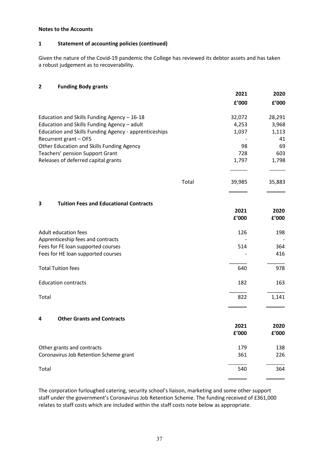## **1 Statement of accounting policies (continued)**

Given the nature of the Covid-19 pandemic the College has reviewed its debtor assets and has taken a robust judgement as to recoverability.

## **2 Funding Body grants**

|                                                       |       | 2021          | 2020          |
|-------------------------------------------------------|-------|---------------|---------------|
|                                                       |       | f'000         | £'000         |
| Education and Skills Funding Agency - 16-18           |       | 32,072        | 28,291        |
| Education and Skills Funding Agency - adult           |       | 4,253         | 3,968         |
| Education and Skills Funding Agency - apprenticeships |       | 1,037         | 1,113         |
| Recurrent grant - OFS                                 |       |               | 41            |
| Other Education and Skills Funding Agency             |       | 98            | 69            |
| Teachers' pension Support Grant                       |       | 728           | 603           |
| Releases of deferred capital grants                   |       | 1,797         | 1,798         |
|                                                       | Total | 39,985        | 35,883        |
|                                                       |       |               |               |
| 3<br><b>Tuition Fees and Educational Contracts</b>    |       |               |               |
|                                                       |       | 2021<br>£'000 | 2020<br>f'000 |
|                                                       |       |               |               |
| Adult education fees                                  |       | 126           | 198           |
| Apprenticeship fees and contracts                     |       |               |               |
| Fees for FE loan supported courses                    |       | 514           | 364           |
| Fees for HE loan supported courses                    |       |               | 416           |
| <b>Total Tuition fees</b>                             |       | 640           | 978           |
| <b>Education contracts</b>                            |       | 182           | 163           |
| Total                                                 |       | 822           | 1,141         |
|                                                       |       |               |               |
| <b>Other Grants and Contracts</b><br>4                |       | 2021          | 2020          |
|                                                       |       | £'000         | f'000         |
| Other grants and contracts                            |       | 179           | 138           |
| Coronavirus Job Retention Scheme grant                |       | 361           | 226           |
| Total                                                 |       | 540           | 364           |
|                                                       |       |               |               |

The corporation furloughed catering, security school's liaison, marketing and some other support staff under the government's Coronavirus Job Retention Scheme. The funding received of £361,000 relates to staff costs which are included within the staff costs note below as appropriate.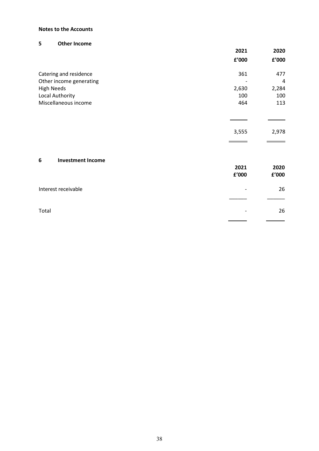## **5 Other Income**

|                               | 2021                           | 2020  |
|-------------------------------|--------------------------------|-------|
|                               | $\boldsymbol{\mathsf{f}}'$ 000 | £'000 |
| Catering and residence        | 361                            | 477   |
| Other income generating       |                                | 4     |
| <b>High Needs</b>             | 2,630                          | 2,284 |
| Local Authority               | 100                            | 100   |
| Miscellaneous income          | 464                            | 113   |
|                               |                                |       |
|                               | 3,555                          | 2,978 |
| <b>Investment Income</b><br>6 |                                |       |
|                               | 2021                           | 2020  |
|                               | £'000                          | £'000 |
| Interest receivable           |                                | 26    |
|                               |                                |       |
| Total                         |                                | 26    |
|                               |                                |       |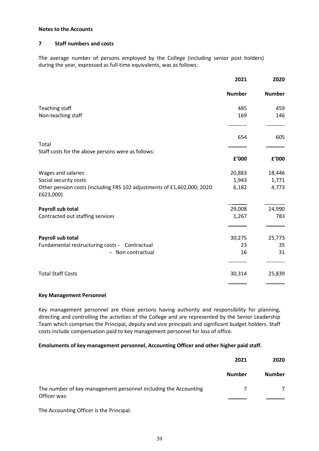#### **7 Staff numbers and costs**

The average number of persons employed by the College (including senior post holders) during the year, expressed as full-time equivalents, was as follows:

|                                                                                      | 2021          | 2020          |
|--------------------------------------------------------------------------------------|---------------|---------------|
|                                                                                      | <b>Number</b> | <b>Number</b> |
| Teaching staff                                                                       | 485           | 459           |
| Non-teaching staff                                                                   | 169           | 146           |
|                                                                                      | 654           | 605           |
| Total                                                                                |               |               |
| Staff costs for the above persons were as follows:                                   | £'000         | £'000         |
| Wages and salaries                                                                   | 20,883        | 18,446        |
| Social security costs                                                                | 1,943         | 1,771         |
| Other pension costs (including FRS 102 adjustments of £1,602,000; 2020:<br>£623,000) | 6,182         | 4,773         |
| Payroll sub total                                                                    | 29,008        | 24,990        |
| Contracted out staffing services                                                     | 1,267         | 783           |
| Payroll sub total                                                                    | 30,275        | 25,773        |
| Fundamental restructuring costs - Contractual                                        | 23            | 35            |
| - Non contractual                                                                    | 16            | 31            |
| <b>Total Staff Costs</b>                                                             | 30,314        | 25,839        |
|                                                                                      |               |               |

#### **Key Management Personnel**

Key management personnel are those persons having authority and responsibility for planning, directing and controlling the activities of the College and are represented by the Senior Leadership Team which comprises the Principal, deputy and vice principals and significant budget holders. Staff costs include compensation paid to key management personnel for loss of office.

#### **Emoluments of key management personnel, Accounting Officer and other higher paid staff.**

|                                                                 | 2021          | 2020          |
|-----------------------------------------------------------------|---------------|---------------|
|                                                                 | <b>Number</b> | <b>Number</b> |
| The number of key management personnel including the Accounting |               | 7             |
| Officer was:                                                    |               |               |

The Accounting Officer is the Principal.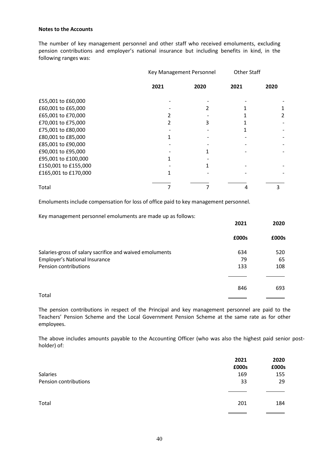The number of key management personnel and other staff who received emoluments, excluding pension contributions and employer's national insurance but including benefits in kind, in the following ranges was:

|                      | Key Management Personnel |      | <b>Other Staff</b> |      |
|----------------------|--------------------------|------|--------------------|------|
|                      | 2021                     | 2020 | 2021               | 2020 |
| £55,001 to £60,000   |                          |      |                    |      |
| £60,001 to £65,000   |                          |      |                    |      |
| £65,001 to £70,000   |                          |      |                    | 2    |
| £70,001 to £75,000   |                          |      |                    |      |
| £75,001 to £80,000   |                          |      |                    |      |
| £80,001 to £85,000   |                          |      |                    |      |
| £85,001 to £90,000   |                          |      |                    |      |
| £90,001 to £95,000   |                          |      |                    |      |
| £95,001 to £100,000  |                          |      |                    |      |
| £150,001 to £155,000 |                          |      |                    |      |
| £165,001 to £170,000 |                          |      |                    |      |
| Total                |                          |      |                    | 3    |

Emoluments include compensation for loss of office paid to key management personnel.

Key management personnel emoluments are made up as follows:

|                                                          | 2021  | 2020  |
|----------------------------------------------------------|-------|-------|
|                                                          | £000s | £000s |
| Salaries-gross of salary sacrifice and waived emoluments | 634   | 520   |
| <b>Employer's National Insurance</b>                     | 79    | 65    |
| Pension contributions                                    | 133   | 108   |
|                                                          |       |       |
|                                                          | 846   | 693   |
| Total                                                    |       |       |

The pension contributions in respect of the Principal and key management personnel are paid to the Teachers' Pension Scheme and the Local Government Pension Scheme at the same rate as for other employees.

The above includes amounts payable to the Accounting Officer (who was also the highest paid senior postholder) of:

|                       | 2021  | 2020  |
|-----------------------|-------|-------|
|                       | £000s | £000s |
| Salaries              | 169   | 155   |
| Pension contributions | 33    | 29    |
|                       |       |       |
| Total                 | 201   | 184   |
|                       |       |       |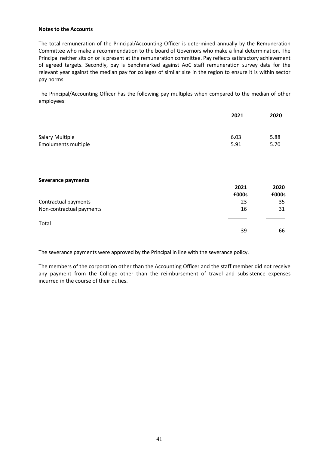The total remuneration of the Principal/Accounting Officer is determined annually by the Remuneration Committee who make a recommendation to the board of Governors who make a final determination. The Principal neither sits on or is present at the remuneration committee. Pay reflects satisfactory achievement of agreed targets. Secondly, pay is benchmarked against AoC staff remuneration survey data for the relevant year against the median pay for colleges of similar size in the region to ensure it is within sector pay norms.

The Principal/Accounting Officer has the following pay multiples when compared to the median of other employees:

|                            | 2021  | 2020  |
|----------------------------|-------|-------|
| <b>Salary Multiple</b>     | 6.03  | 5.88  |
| <b>Emoluments multiple</b> | 5.91  | 5.70  |
|                            |       |       |
| Severance payments         |       |       |
|                            | 2021  | 2020  |
|                            | £000s | £000s |
| Contractual payments       | 23    | 35    |
| Non-contractual payments   | 16    | 31    |
| Total                      |       |       |
|                            | 39    | 66    |
|                            |       |       |

The severance payments were approved by the Principal in line with the severance policy.

The members of the corporation other than the Accounting Officer and the staff member did not receive any payment from the College other than the reimbursement of travel and subsistence expenses incurred in the course of their duties.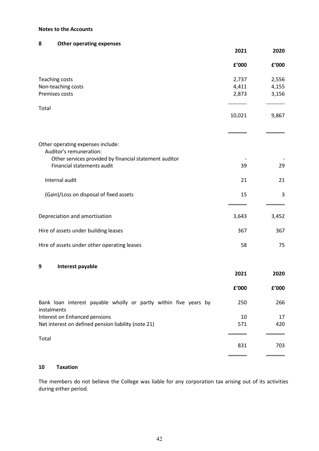## **8 Other operating expenses**

|                                                                                 | 2021   | 2020  |
|---------------------------------------------------------------------------------|--------|-------|
|                                                                                 | f'000  | f'000 |
| <b>Teaching costs</b>                                                           | 2,737  | 2,556 |
| Non-teaching costs                                                              | 4,411  | 4,155 |
| Premises costs                                                                  | 2,873  | 3,156 |
| Total                                                                           |        |       |
|                                                                                 | 10,021 | 9,867 |
|                                                                                 |        |       |
| Other operating expenses include:<br>Auditor's remuneration:                    |        |       |
| Other services provided by financial statement auditor                          |        |       |
| Financial statements audit                                                      | 39     | 29    |
| Internal audit                                                                  | 21     | 21    |
| (Gain)/Loss on disposal of fixed assets                                         | 15     | 3     |
| Depreciation and amortisation                                                   | 3,643  | 3,452 |
| Hire of assets under building leases                                            | 367    | 367   |
| Hire of assets under other operating leases                                     | 58     | 75    |
| 9<br>Interest payable                                                           |        |       |
|                                                                                 | 2021   | 2020  |
|                                                                                 | £'000  | £'000 |
| Bank loan interest payable wholly or partly within five years by<br>instalments | 250    | 266   |
| Interest on Enhanced pensions                                                   | 10     | 17    |

## Total

## **10 Taxation**

The members do not believe the College was liable for any corporation tax arising out of its activities during either period.

Net interest on defined pension liability (note 21) 571 571 420

l

l,

 $\equiv$ 

831 703

 $\overline{\phantom{0}}$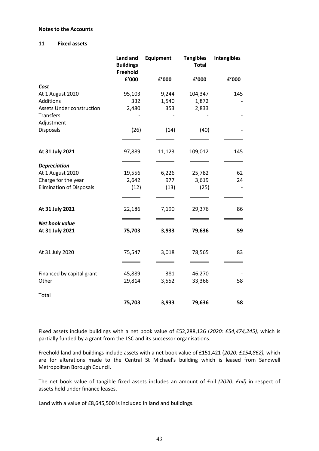#### **11 Fixed assets**

|                                  | Land and<br><b>Buildings</b><br>Freehold | <b>Equipment</b> | <b>Tangibles</b><br><b>Total</b> | <b>Intangibles</b> |
|----------------------------------|------------------------------------------|------------------|----------------------------------|--------------------|
|                                  | f'000                                    | £'000            | f'000                            | £'000              |
| Cost                             |                                          |                  |                                  |                    |
| At 1 August 2020                 | 95,103                                   | 9,244            | 104,347                          | 145                |
| Additions                        | 332                                      | 1,540            | 1,872                            |                    |
| <b>Assets Under construction</b> | 2,480                                    | 353              | 2,833                            |                    |
| <b>Transfers</b>                 |                                          |                  |                                  |                    |
| Adjustment                       |                                          |                  |                                  |                    |
| Disposals                        | (26)                                     | (14)             | (40)                             |                    |
|                                  |                                          |                  |                                  |                    |
| At 31 July 2021                  | 97,889                                   | 11,123           | 109,012                          | 145                |
|                                  |                                          |                  |                                  |                    |
| <b>Depreciation</b>              |                                          |                  |                                  |                    |
| At 1 August 2020                 | 19,556                                   | 6,226            | 25,782                           | 62                 |
| Charge for the year              | 2,642                                    | 977              | 3,619                            | 24                 |
| <b>Elimination of Disposals</b>  | (12)                                     | (13)             | (25)                             |                    |
|                                  |                                          |                  |                                  |                    |
| At 31 July 2021                  | 22,186                                   | 7,190            | 29,376                           | 86                 |
| Net book value                   |                                          |                  |                                  |                    |
| At 31 July 2021                  | 75,703                                   | 3,933            | 79,636                           | 59                 |
|                                  |                                          |                  |                                  |                    |
| At 31 July 2020                  | 75,547                                   | 3,018            | 78,565                           | 83                 |
|                                  |                                          |                  |                                  |                    |
| Financed by capital grant        | 45,889                                   | 381              | 46,270                           |                    |
| Other                            | 29,814                                   | 3,552            | 33,366                           | 58                 |
| Total                            |                                          |                  |                                  |                    |
|                                  | 75,703                                   | 3,933            | 79,636                           | 58                 |
|                                  |                                          |                  |                                  |                    |

Fixed assets include buildings with a net book value of £52,288,126 (*2020: £54,474,245),* which is partially funded by a grant from the LSC and its successor organisations.

Freehold land and buildings include assets with a net book value of £151,421 (*2020: £154,862),* which are for alterations made to the Central St Michael's building which is leased from Sandwell Metropolitan Borough Council.

The net book value of tangible fixed assets includes an amount of £nil *(2020: £nil)* in respect of assets held under finance leases.

Land with a value of £8,645,500 is included in land and buildings.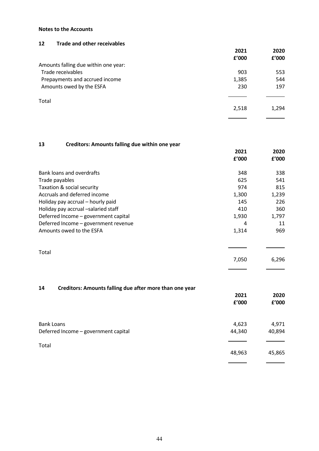## **12 Trade and other receivables**

|                                      | 2021  | 2020  |
|--------------------------------------|-------|-------|
|                                      | £'000 | £'000 |
| Amounts falling due within one year: |       |       |
| Trade receivables                    | 903   | 553   |
| Prepayments and accrued income       | 1,385 | 544   |
| Amounts owed by the ESFA             | 230   | 197   |
|                                      |       |       |
| Total                                |       |       |
|                                      | 2,518 | 1,294 |
|                                      |       |       |

## **13 Creditors: Amounts falling due within one year**

|                                      | 2021<br>f'000 | 2020<br>f'000 |
|--------------------------------------|---------------|---------------|
| Bank loans and overdrafts            | 348           | 338           |
| Trade payables                       | 625           | 541           |
| Taxation & social security           | 974           | 815           |
| Accruals and deferred income         | 1,300         | 1,239         |
| Holiday pay accrual - hourly paid    | 145           | 226           |
| Holiday pay accrual -salaried staff  | 410           | 360           |
| Deferred Income - government capital | 1,930         | 1,797         |
| Deferred Income - government revenue | 4             | 11            |
| Amounts owed to the ESFA             | 1,314         | 969           |
| Total                                |               |               |
|                                      | 7,050         | 6,296         |
|                                      |               |               |

## **14 Creditors: Amounts falling due after more than one year**

|                                      | 2021<br>f'000 | 2020<br>£'000 |
|--------------------------------------|---------------|---------------|
| <b>Bank Loans</b>                    | 4,623         | 4,971         |
| Deferred Income - government capital | 44,340        | 40,894        |
| Total                                |               |               |
|                                      | 48,963        | 45,865        |
|                                      |               |               |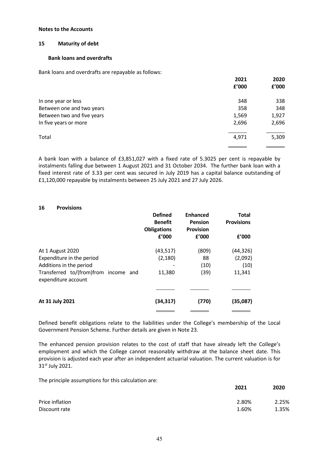## **15 Maturity of debt**

#### **Bank loans and overdrafts**

Bank loans and overdrafts are repayable as follows:

|                            | 2021<br>f'000 | 2020<br>£'000 |
|----------------------------|---------------|---------------|
| In one year or less        | 348           | 338           |
| Between one and two years  | 358           | 348           |
| Between two and five years | 1,569         | 1,927         |
| In five years or more      | 2,696         | 2,696         |
| Total                      | 4,971         | 5,309         |
|                            |               |               |

A bank loan with a balance of £3,851,027 with a fixed rate of 5.3025 per cent is repayable by instalments falling due between 1 August 2021 and 31 October 2034. The further bank loan with a fixed interest rate of 3.33 per cent was secured in July 2019 has a capital balance outstanding of £1,120,000 repayable by instalments between 25 July 2021 and 27 July 2026.

|                                                             | <b>Defined</b><br><b>Benefit</b><br><b>Obligations</b> | <b>Enhanced</b><br>Pension<br><b>Provision</b> | <b>Total</b><br><b>Provisions</b> |
|-------------------------------------------------------------|--------------------------------------------------------|------------------------------------------------|-----------------------------------|
|                                                             | £'000                                                  | £'000                                          | f'000                             |
| At 1 August 2020                                            | (43, 517)                                              | (809)                                          | (44, 326)                         |
| Expenditure in the period                                   | (2, 180)                                               | 88                                             | (2,092)                           |
| Additions in the period                                     |                                                        | (10)                                           | (10)                              |
| Transferred to/(from)from income and<br>expenditure account | 11,380                                                 | (39)                                           | 11,341                            |
|                                                             |                                                        |                                                |                                   |
| At 31 July 2021                                             | (34, 317)                                              | (770)                                          | (35,087)                          |
|                                                             |                                                        |                                                |                                   |

Defined benefit obligations relate to the liabilities under the College's membership of the Local Government Pension Scheme. Further details are given in Note 23.

The enhanced pension provision relates to the cost of staff that have already left the College's employment and which the College cannot reasonably withdraw at the balance sheet date. This provision is adjusted each year after an independent actuarial valuation. The current valuation is for 31st July 2021.

The principle assumptions for this calculation are:

|                 | 2021  | 2020  |
|-----------------|-------|-------|
| Price inflation | 2.80% | 2.25% |
| Discount rate   | 1.60% | 1.35% |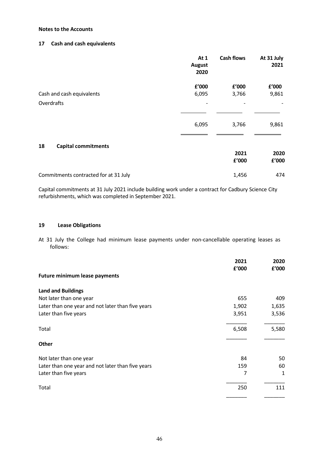## **17 Cash and cash equivalents**

|                                       | At 1<br>August<br>2020 | <b>Cash flows</b> | At 31 July<br>2021 |
|---------------------------------------|------------------------|-------------------|--------------------|
| Cash and cash equivalents             | £'000<br>6,095         | £'000<br>3,766    | £'000<br>9,861     |
| Overdrafts                            |                        | -                 |                    |
|                                       | 6,095                  | 3,766             | 9,861              |
| <b>Capital commitments</b><br>18      |                        | 2021<br>£'000     | 2020<br>£'000      |
| Commitments contracted for at 31 July |                        | 1,456             | 474                |

Capital commitments at 31 July 2021 include building work under a contract for Cadbury Science City refurbishments, which was completed in September 2021.

#### **19 Lease Obligations**

At 31 July the College had minimum lease payments under non-cancellable operating leases as follows:

|                                                   | 2021<br>£'000 | 2020<br>£'000 |
|---------------------------------------------------|---------------|---------------|
| <b>Future minimum lease payments</b>              |               |               |
| <b>Land and Buildings</b>                         |               |               |
| Not later than one year                           | 655           | 409           |
| Later than one year and not later than five years | 1,902         | 1,635         |
| Later than five years                             | 3,951         | 3,536         |
| Total                                             | 6,508         | 5,580         |
| Other                                             |               |               |
| Not later than one year                           | 84            | 50            |
| Later than one year and not later than five years | 159           | 60            |
| Later than five years                             | 7             | 1             |
| Total                                             | 250           | 111           |
|                                                   |               |               |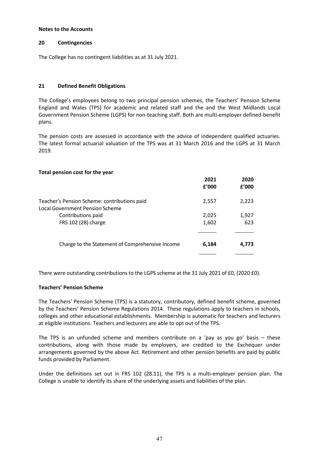#### **20 Contingencies**

The College has no contingent liabilities as at 31 July 2021.

## **21 Defined Benefit Obligations**

The College's employees belong to two principal pension schemes, the Teachers' Pension Scheme England and Wales (TPS) for academic and related staff and the and the West Midlands Local Government Pension Scheme (LGPS) for non-teaching staff. Both are multi-employer defined-benefit plans.

The pension costs are assessed in accordance with the advice of independent qualified actuaries. The latest formal actuarial valuation of the TPS was at 31 March 2016 and the LGPS at 31 March 2019.

#### **Total pension cost for the year**

|                                                                                 | 2021<br>f'000  | 2020<br>f'000 |
|---------------------------------------------------------------------------------|----------------|---------------|
| Teacher's Pension Scheme: contributions paid<br>Local Government Pension Scheme | 2,557          | 2,223         |
| Contributions paid<br>FRS 102 (28) charge                                       | 2,025<br>1,602 | 1,927<br>623  |
| Charge to the Statement of Comprehensive Income                                 | 6,184          | 4,773         |

There were outstanding contributions to the LGPS scheme at the 31 July 2021 of £0, (2020 £0).

## **Teachers' Pension Scheme**

The Teachers' Pension Scheme (TPS) is a statutory, contributory, defined benefit scheme, governed by the Teachers' Pension Scheme Regulations 2014. These regulations apply to teachers in schools, colleges and other educational establishments. Membership is automatic for teachers and lecturers at eligible institutions. Teachers and lecturers are able to opt out of the TPS.

The TPS is an unfunded scheme and members contribute on a 'pay as you go' basis – these contributions, along with those made by employers, are credited to the Exchequer under arrangements governed by the above Act. Retirement and other pension benefits are paid by public funds provided by Parliament.

Under the definitions set out in FRS 102 (28.11), the TPS is a multi-employer pension plan. The College is unable to identify its share of the underlying assets and liabilities of the plan.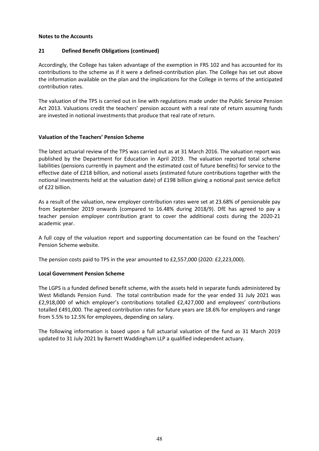## **21 Defined Benefit Obligations (continued)**

Accordingly, the College has taken advantage of the exemption in FRS 102 and has accounted for its contributions to the scheme as if it were a defined-contribution plan. The College has set out above the information available on the plan and the implications for the College in terms of the anticipated contribution rates.

The valuation of the TPS is carried out in line with regulations made under the Public Service Pension Act 2013. Valuations credit the teachers' pension account with a real rate of return assuming funds are invested in notional investments that produce that real rate of return.

## **Valuation of the Teachers' Pension Scheme**

The latest actuarial review of the TPS was carried out as at 31 March 2016. The valuation report was published by the Department for Education in April 2019. The valuation reported total scheme liabilities (pensions currently in payment and the estimated cost of future benefits) for service to the effective date of £218 billion, and notional assets (estimated future contributions together with the notional investments held at the valuation date) of £198 billion giving a notional past service deficit of £22 billion.

As a result of the valuation, new employer contribution rates were set at 23.68% of pensionable pay from September 2019 onwards (compared to 16.48% during 2018/9). DfE has agreed to pay a teacher pension employer contribution grant to cover the additional costs during the 2020-21 academic year.

A full copy of the valuation report and supporting documentation can be found on the Teachers' Pension Scheme website.

The pension costs paid to TPS in the year amounted to £2,557,000 (2020: £2,223,000).

## **Local Government Pension Scheme**

The LGPS is a funded defined benefit scheme, with the assets held in separate funds administered by West Midlands Pension Fund. The total contribution made for the year ended 31 July 2021 was £2,918,000 of which employer's contributions totalled £2,427,000 and employees' contributions totalled £491,000. The agreed contribution rates for future years are 18.6% for employers and range from 5.5% to 12.5% for employees, depending on salary.

The following information is based upon a full actuarial valuation of the fund as 31 March 2019 updated to 31 July 2021 by Barnett Waddingham LLP a qualified independent actuary.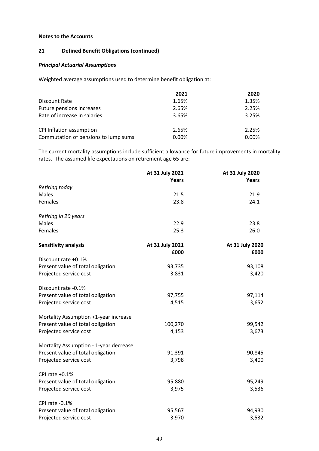## **21 Defined Benefit Obligations (continued)**

## *Principal Actuarial Assumptions*

Weighted average assumptions used to determine benefit obligation at:

|                                      | 2021  | 2020  |
|--------------------------------------|-------|-------|
| Discount Rate                        | 1.65% | 1.35% |
| Future pensions increases            | 2.65% | 2.25% |
| Rate of increase in salaries         | 3.65% | 3.25% |
| CPI Inflation assumption             | 2.65% | 2.25% |
| Commutation of pensions to lump sums | 0.00% | 0.00% |

The current mortality assumptions include sufficient allowance for future improvements in mortality rates. The assumed life expectations on retirement age 65 are:

|                                        | At 31 July 2021 | At 31 July 2020 |
|----------------------------------------|-----------------|-----------------|
|                                        | Years           | Years           |
| Retiring today                         |                 |                 |
| Males                                  | 21.5            | 21.9            |
| Females                                | 23.8            | 24.1            |
| Retiring in 20 years                   |                 |                 |
| Males                                  | 22.9            | 23.8            |
| Females                                | 25.3            | 26.0            |
| Sensitivity analysis                   | At 31 July 2021 | At 31 July 2020 |
|                                        | £000            | £000            |
| Discount rate +0.1%                    |                 |                 |
| Present value of total obligation      | 93,735          | 93,108          |
| Projected service cost                 | 3,831           | 3,420           |
| Discount rate -0.1%                    |                 |                 |
| Present value of total obligation      | 97,755          | 97,114          |
| Projected service cost                 | 4,515           | 3,652           |
| Mortality Assumption +1-year increase  |                 |                 |
| Present value of total obligation      | 100,270         | 99,542          |
| Projected service cost                 | 4,153           | 3,673           |
| Mortality Assumption - 1-year decrease |                 |                 |
| Present value of total obligation      | 91,391          | 90,845          |
| Projected service cost                 | 3,798           | 3,400           |
| CPI rate +0.1%                         |                 |                 |
| Present value of total obligation      | 95.880          | 95,249          |
| Projected service cost                 | 3,975           | 3,536           |
| CPI rate -0.1%                         |                 |                 |
| Present value of total obligation      | 95,567          | 94,930          |
| Projected service cost                 | 3,970           | 3,532           |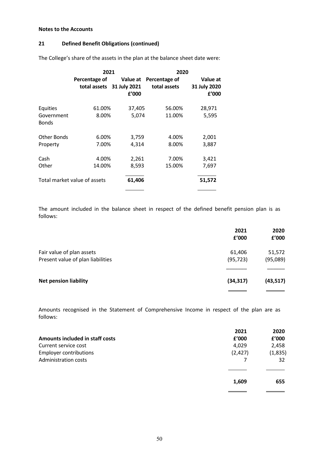## **21 Defined Benefit Obligations (continued)**

|                            | 2021                         |                                                | 2020                          |                                   |
|----------------------------|------------------------------|------------------------------------------------|-------------------------------|-----------------------------------|
|                            | Percentage of                | Value at<br>total assets 31 July 2021<br>f'000 | Percentage of<br>total assets | Value at<br>31 July 2020<br>f'000 |
| Equities                   | 61.00%                       | 37,405                                         | 56.00%                        | 28,971                            |
| Government<br><b>Bonds</b> | 8.00%                        | 5,074                                          | 11.00%                        | 5,595                             |
| Other Bonds                | 6.00%                        | 3,759                                          | 4.00%                         | 2,001                             |
| Property                   | 7.00%                        | 4,314                                          | 8.00%                         | 3,887                             |
| Cash                       | 4.00%                        | 2,261                                          | 7.00%                         | 3,421                             |
| Other                      | 14.00%                       | 8,593                                          | 15.00%                        | 7,697                             |
|                            | Total market value of assets | 61,406                                         |                               | 51,572                            |
|                            |                              |                                                |                               |                                   |

The College's share of the assets in the plan at the balance sheet date were:

The amount included in the balance sheet in respect of the defined benefit pension plan is as follows:

|                                   | 2021<br>£'000 | 2020<br>£'000 |
|-----------------------------------|---------------|---------------|
| Fair value of plan assets         | 61,406        | 51,572        |
| Present value of plan liabilities | (95, 723)     | (95,089)      |
|                                   |               |               |
| <b>Net pension liability</b>      | (34, 317)     | (43, 517)     |
|                                   |               |               |

Amounts recognised in the Statement of Comprehensive Income in respect of the plan are as follows:

|                                 | 2021     | 2020     |
|---------------------------------|----------|----------|
| Amounts included in staff costs | £'000    | £'000    |
| Current service cost            | 4,029    | 2,458    |
| <b>Employer contributions</b>   | (2, 427) | (1, 835) |
| <b>Administration costs</b>     |          | 32       |
|                                 |          |          |
|                                 | 1,609    | 655      |
|                                 |          |          |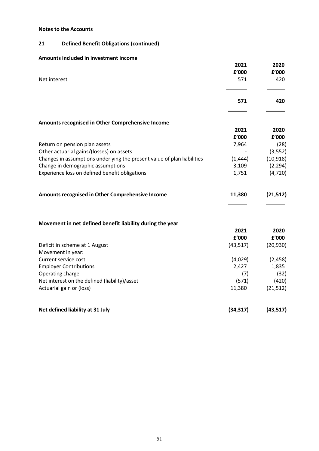## **21 Defined Benefit Obligations (continued)**

## **Amounts included in investment income**

|                                                                                                              | 2021              | 2020                  |
|--------------------------------------------------------------------------------------------------------------|-------------------|-----------------------|
|                                                                                                              | £'000             | £'000                 |
| Net interest                                                                                                 | 571               | 420                   |
|                                                                                                              | 571               | 420                   |
|                                                                                                              |                   |                       |
| Amounts recognised in Other Comprehensive Income                                                             |                   |                       |
|                                                                                                              | 2021              | 2020                  |
|                                                                                                              | f'000             | f'000                 |
| Return on pension plan assets                                                                                | 7,964             | (28)                  |
| Other actuarial gains/(losses) on assets                                                                     |                   | (3, 552)              |
| Changes in assumptions underlying the present value of plan liabilities<br>Change in demographic assumptions | (1, 444)<br>3,109 | (10, 918)<br>(2, 294) |
| Experience loss on defined benefit obligations                                                               | 1,751             | (4, 720)              |
|                                                                                                              |                   |                       |
| Amounts recognised in Other Comprehensive Income                                                             | 11,380            | (21, 512)             |
|                                                                                                              |                   |                       |
| Movement in net defined benefit liability during the year                                                    | 2021              | 2020                  |
|                                                                                                              | £'000             | £'000                 |

| I UUU     | I VVV     |
|-----------|-----------|
| (43, 517) | (20, 930) |
|           |           |
| (4,029)   | (2, 458)  |
| 2,427     | 1,835     |
| (7)       | (32)      |
| (571)     | (420)     |
| 11,380    | (21,512)  |
|           |           |
| (34, 317) | (43, 517) |
|           |           |

 $\frac{1}{\sqrt{1-\frac{1}{2}}}$  $\sim$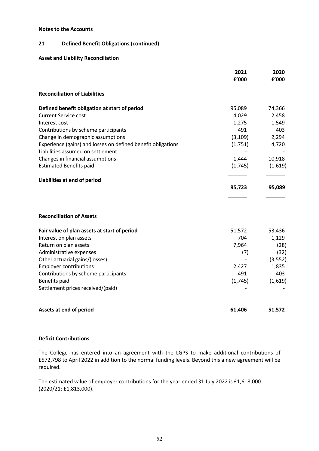## **21 Defined Benefit Obligations (continued)**

## **Asset and Liability Reconciliation**

|                                                              | 2021<br>£'000 | 2020<br>f'000 |
|--------------------------------------------------------------|---------------|---------------|
| <b>Reconciliation of Liabilities</b>                         |               |               |
| Defined benefit obligation at start of period                | 95,089        | 74,366        |
| <b>Current Service cost</b>                                  | 4,029         | 2,458         |
| Interest cost                                                | 1,275         | 1,549         |
| Contributions by scheme participants                         | 491           | 403           |
| Change in demographic assumptions                            | (3, 109)      | 2,294         |
| Experience (gains) and losses on defined benefit obligations | (1,751)       | 4,720         |
| Liabilities assumed on settlement                            |               |               |
| Changes in financial assumptions                             | 1,444         | 10,918        |
| <b>Estimated Benefits paid</b>                               | (1,745)       | (1,619)       |
| Liabilities at end of period                                 |               |               |
|                                                              | 95,723        | 95,089        |
|                                                              |               |               |
| <b>Reconciliation of Assets</b>                              |               |               |
| Fair value of plan assets at start of period                 | 51,572        | 53,436        |
| Interest on plan assets                                      | 704           | 1,129         |
| Return on plan assets                                        | 7,964         | (28)          |
| Administrative expenses                                      | (7)           | (32)          |
| Other actuarial gains/(losses)                               |               | (3, 552)      |
| <b>Employer contributions</b>                                | 2,427         | 1,835         |
| Contributions by scheme participants                         | 491           | 403           |
| Benefits paid                                                | (1,745)       | (1,619)       |
| Settlement prices received/(paid)                            |               |               |
| Assets at end of period                                      | 61,406        | 51,572        |
|                                                              |               |               |

## **Deficit Contributions**

The College has entered into an agreement with the LGPS to make additional contributions of £572,798 to April 2022 in addition to the normal funding levels. Beyond this a new agreement will be required.

The estimated value of employer contributions for the year ended 31 July 2022 is £1,618,000. (2020/21: £1,813,000).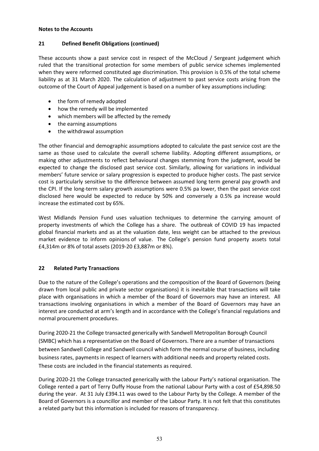## **21 Defined Benefit Obligations (continued)**

These accounts show a past service cost in respect of the McCloud / Sergeant judgement which ruled that the transitional protection for some members of public service schemes implemented when they were reformed constituted age discrimination. This provision is 0.5% of the total scheme liability as at 31 March 2020. The calculation of adjustment to past service costs arising from the outcome of the Court of Appeal judgement is based on a number of key assumptions including:

- the form of remedy adopted
- how the remedy will be implemented
- which members will be affected by the remedy
- the earning assumptions
- the withdrawal assumption

The other financial and demographic assumptions adopted to calculate the past service cost are the same as those used to calculate the overall scheme liability. Adopting different assumptions, or making other adjustments to reflect behavioural changes stemming from the judgment, would be expected to change the disclosed past service cost. Similarly, allowing for variations in individual members' future service or salary progression is expected to produce higher costs. The past service cost is particularly sensitive to the difference between assumed long term general pay growth and the CPI. If the long-term salary growth assumptions were 0.5% pa lower, then the past service cost disclosed here would be expected to reduce by 50% and conversely a 0.5% pa increase would increase the estimated cost by 65%.

West Midlands Pension Fund uses valuation techniques to determine the carrying amount of property investments of which the College has a share. The outbreak of COVID 19 has impacted global financial markets and as at the valuation date, less weight can be attached to the previous market evidence to inform opinions of value. The College's pension fund property assets total £4,314m or 8% of total assets (2019-20 £3,887m or 8%).

## **22 Related Party Transactions**

Due to the nature of the College's operations and the composition of the Board of Governors (being drawn from local public and private sector organisations) it is inevitable that transactions will take place with organisations in which a member of the Board of Governors may have an interest. All transactions involving organisations in which a member of the Board of Governors may have an interest are conducted at arm's length and in accordance with the College's financial regulations and normal procurement procedures.

During 2020-21 the College transacted generically with Sandwell Metropolitan Borough Council (SMBC) which has a representative on the Board of Governors. There are a number of transactions between Sandwell College and Sandwell council which form the normal course of business, including business rates, payments in respect of learners with additional needs and property related costs. These costs are included in the financial statements as required.

During 2020-21 the College transacted generically with the Labour Party's national organisation. The College rented a part of Terry Duffy House from the national Labour Party with a cost of £54,898.50 during the year. At 31 July £394.11 was owed to the Labour Party by the College. A member of the Board of Governors is a councillor and member of the Labour Party. It is not felt that this constitutes a related party but this information is included for reasons of transparency.